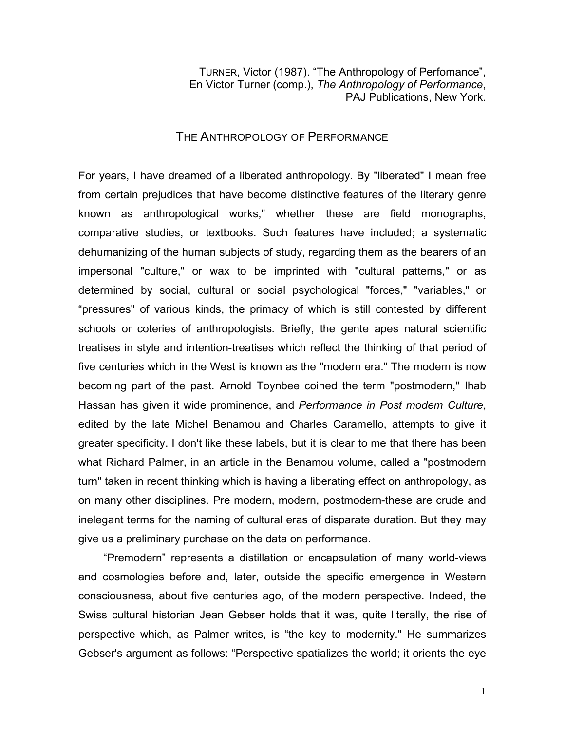TURNER, Victor (1987). "The Anthropology of Perfomance", En Victor Turner (comp.), *The Anthropology of Performance*, PAJ Publications, New York.

## THE ANTHROPOLOGY OF PERFORMANCE

For years, I have dreamed of a liberated anthropology. By "liberated" I mean free from certain prejudices that have become distinctive features of the literary genre known as anthropological works," whether these are field monographs, comparative studies, or textbooks. Such features have included; a systematic dehumanizing of the human subjects of study, regarding them as the bearers of an impersonal "culture," or wax to be imprinted with "cultural patterns," or as determined by social, cultural or social psychological "forces," "variables," or "pressures" of various kinds, the primacy of which is still contested by different schools or coteries of anthropologists. Briefly, the gente apes natural scientific treatises in style and intention-treatises which reflect the thinking of that period of five centuries which in the West is known as the "modern era." The modern is now becoming part of the past. Arnold Toynbee coined the term "postmodern," Ihab Hassan has given it wide prominence, and *Performance in Post modem Culture*, edited by the late Michel Benamou and Charles Caramello, attempts to give it greater specificity. I don't like these labels, but it is clear to me that there has been what Richard Palmer, in an article in the Benamou volume, called a "postmodern turn" taken in recent thinking which is having a liberating effect on anthropology, as on many other disciplines. Pre modern, modern, postmodern-these are crude and inelegant terms for the naming of cultural eras of disparate duration. But they may give us a preliminary purchase on the data on performance.

"Premodern" represents a distillation or encapsulation of many world-views and cosmologies before and, later, outside the specific emergence in Western consciousness, about five centuries ago, of the modern perspective. Indeed, the Swiss cultural historian Jean Gebser holds that it was, quite literally, the rise of perspective which, as Palmer writes, is "the key to modernity." He summarizes Gebser's argument as follows: "Perspective spatializes the world; it orients the eye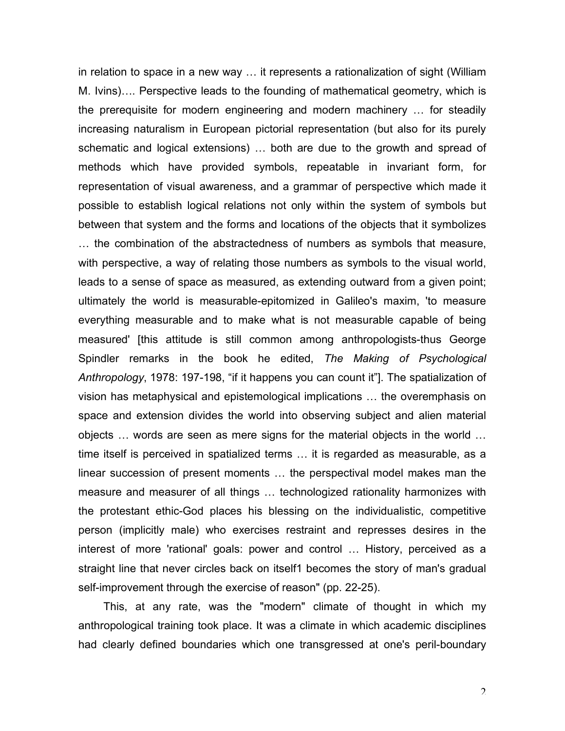in relation to space in a new way … it represents a rationalization of sight (William M. Ivins)…. Perspective leads to the founding of mathematical geometry, which is the prerequisite for modern engineering and modern machinery … for steadily increasing naturalism in European pictorial representation (but also for its purely schematic and logical extensions) … both are due to the growth and spread of methods which have provided symbols, repeatable in invariant form, for representation of visual awareness, and a grammar of perspective which made it possible to establish logical relations not only within the system of symbols but between that system and the forms and locations of the objects that it symbolizes … the combination of the abstractedness of numbers as symbols that measure, with perspective, a way of relating those numbers as symbols to the visual world, leads to a sense of space as measured, as extending outward from a given point; ultimately the world is measurable-epitomized in Galileo's maxim, 'to measure everything measurable and to make what is not measurable capable of being measured' [this attitude is still common among anthropologists-thus George Spindler remarks in the book he edited, *The Making of Psychological Anthropology*, 1978: 197-198, "if it happens you can count it"]. The spatialization of vision has metaphysical and epistemological implications … the overemphasis on space and extension divides the world into observing subject and alien material objects … words are seen as mere signs for the material objects in the world … time itself is perceived in spatialized terms … it is regarded as measurable, as a linear succession of present moments … the perspectival model makes man the measure and measurer of all things … technologized rationality harmonizes with the protestant ethic-God places his blessing on the individualistic, competitive person (implicitly male) who exercises restraint and represses desires in the interest of more 'rational' goals: power and control … History, perceived as a straight line that never circles back on itself1 becomes the story of man's gradual self-improvement through the exercise of reason" (pp. 22-25).

This, at any rate, was the "modern" climate of thought in which my anthropological training took place. It was a climate in which academic disciplines had clearly defined boundaries which one transgressed at one's peril-boundary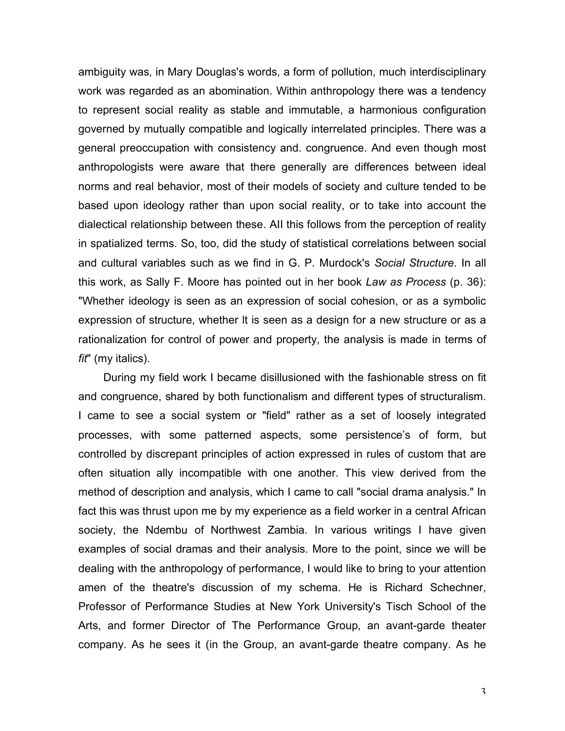ambiguity was, in Mary Douglas's words, a form of pollution, much interdisciplinary work was regarded as an abomination. Within anthropology there was a tendency to represent social reality as stable and immutable, a harmonious configuration governed by mutually compatible and logically interrelated principles. There was a general preoccupation with consistency and. congruence. And even though most anthropologists were aware that there generally are differences between ideal norms and real behavior, most of their models of society and culture tended to be based upon ideology rather than upon social reality, or to take into account the dialectical relationship between these. AII this follows from the perception of reality in spatialized terms. So, too, did the study of statistical correlations between social and cultural variables such as we find in G. P. Murdock's *Social Structure*. In all this work, as Sally F. Moore has pointed out in her book *Law as Process* (p. 36): "Whether ideology is seen as an expression of social cohesion, or as a symbolic expression of structure, whether lt is seen as a design for a new structure or as a rationalization for control of power and property, the analysis is made in terms of *fit*" (my italics).

During my field work I became disillusioned with the fashionable stress on fit and congruence, shared by both functionalism and different types of structuralism. I came to see a social system or "field" rather as a set of loosely integrated processes, with some patterned aspects, some persistence's of form, but controlled by discrepant principles of action expressed in rules of custom that are often situation ally incompatible with one another. This view derived from the method of description and analysis, which I came to call "social drama analysis." In fact this was thrust upon me by my experience as a field worker in a central African society, the Ndembu of Northwest Zambia. In various writings I have given examples of social dramas and their analysis. More to the point, since we will be dealing with the anthropology of performance, I would like to bring to your attention amen of the theatre's discussion of my schema. He is Richard Schechner, Professor of Performance Studies at New York University's Tisch School of the Arts, and former Director of The Performance Group, an avant-garde theater company. As he sees it (in the Group, an avant-garde theatre company. As he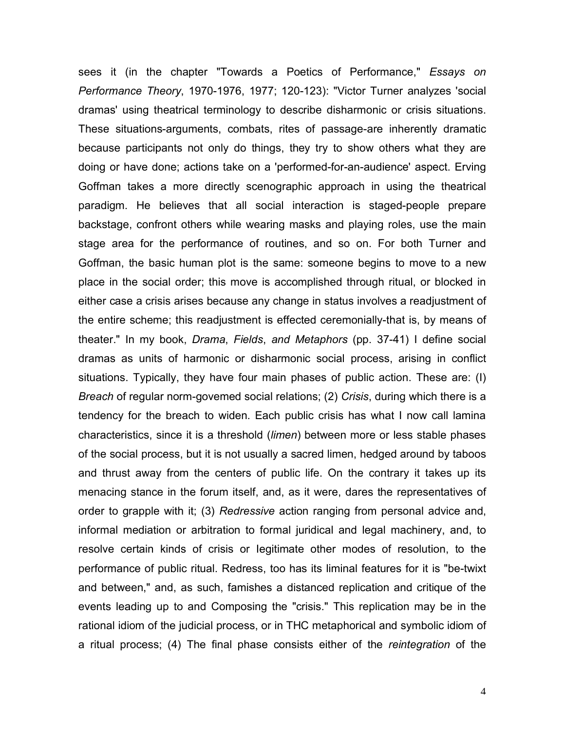sees it (in the chapter "Towards a Poetics of Performance," *Essays on Performance Theory*, 1970-1976, 1977; 120-123): "Victor Turner analyzes 'social dramas' using theatrical terminology to describe disharmonic or crisis situations. These situations-arguments, combats, rites of passage-are inherently dramatic because participants not only do things, they try to show others what they are doing or have done; actions take on a 'performed-for-an-audience' aspect. Erving Goffman takes a more directly scenographic approach in using the theatrical paradigm. He believes that all social interaction is staged-people prepare backstage, confront others while wearing masks and playing roles, use the main stage area for the performance of routines, and so on. For both Turner and Goffman, the basic human plot is the same: someone begins to move to a new place in the social order; this move is accomplished through ritual, or blocked in either case a crisis arises because any change in status involves a readjustment of the entire scheme; this readjustment is effected ceremonially-that is, by means of theater." In my book, *Drama*, *Fields*, *and Metaphors* (pp. 37-41) I define social dramas as units of harmonic or disharmonic social process, arising in conflict situations. Typically, they have four main phases of public action. These are: (I) *Breach* of regular norm-govemed social relations; (2) *Crisis*, during which there is a tendency for the breach to widen. Each public crisis has what I now call lamina characteristics, since it is a threshold (*limen*) between more or less stable phases of the social process, but it is not usually a sacred limen, hedged around by taboos and thrust away from the centers of public life. On the contrary it takes up its menacing stance in the forum itself, and, as it were, dares the representatives of order to grapple with it; (3) *Redressive* action ranging from personal advice and, informal mediation or arbitration to formal juridical and legal machinery, and, to resolve certain kinds of crisis or Iegitimate other modes of resolution, to the performance of public ritual. Redress, too has its liminal features for it is "be-twixt and between," and, as such, famishes a distanced replication and critique of the events leading up to and Composing the "crisis." This replication may be in the rational idiom of the judicial process, or in THC metaphorical and symbolic idiom of a ritual process; (4) The final phase consists either of the *reintegration* of the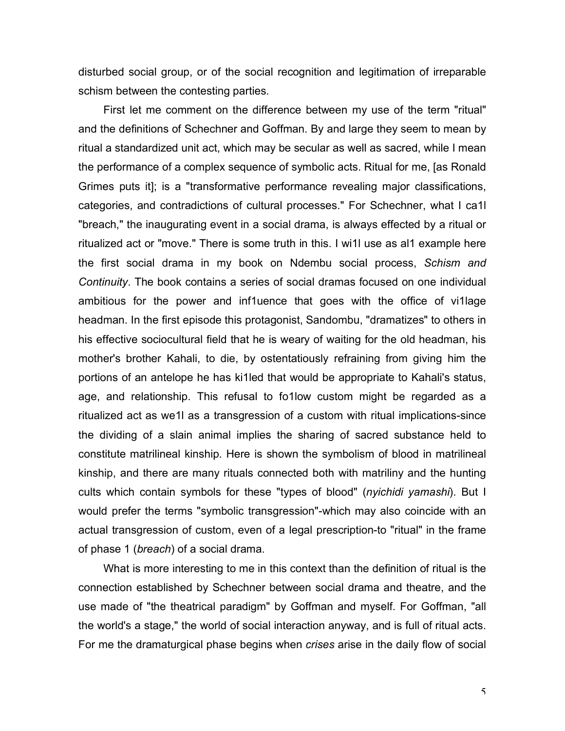disturbed social group, or of the social recognition and legitimation of irreparable schism between the contesting parties.

First let me comment on the difference between my use of the term "ritual" and the definitions of Schechner and Goffman. By and large they seem to mean by ritual a standardized unit act, which may be secular as well as sacred, while I mean the performance of a complex sequence of symbolic acts. Ritual for me, [as Ronald Grimes puts it]; is a "transformative performance revealing major classifications, categories, and contradictions of cultural processes." For Schechner, what I ca1l "breach," the inaugurating event in a social drama, is always effected by a ritual or ritualized act or "move." There is some truth in this. I wi1l use as al1 example here the first social drama in my book on Ndembu social process, *Schism and Continuity*. The book contains a series of social dramas focused on one individual ambitious for the power and inf1uence that goes with the office of vi1lage headman. In the first episode this protagonist, Sandombu, "dramatizes" to others in his effective sociocultural field that he is weary of waiting for the old headman, his mother's brother Kahali, to die, by ostentatiously refraining from giving him the portions of an antelope he has ki1led that would be appropriate to Kahali's status, age, and relationship. This refusal to fo1low custom might be regarded as a ritualized act as we1l as a transgression of a custom with ritual implications-since the dividing of a slain animal implies the sharing of sacred substance held to constitute matrilineal kinship. Here is shown the symbolism of blood in matrilineal kinship, and there are many rituals connected both with matriliny and the hunting cults which contain symbols for these "types of blood" (*nyichidi yamashi*). But I would prefer the terms "symbolic transgression"-which may also coincide with an actual transgression of custom, even of a legal prescription-to "ritual" in the frame of phase 1 (*breach*) of a social drama.

What is more interesting to me in this context than the definition of ritual is the connection established by Schechner between social drama and theatre, and the use made of "the theatrical paradigm" by Goffman and myself. For Goffman, "all the world's a stage," the world of social interaction anyway, and is full of ritual acts. For me the dramaturgical phase begins when *crises* arise in the daily flow of social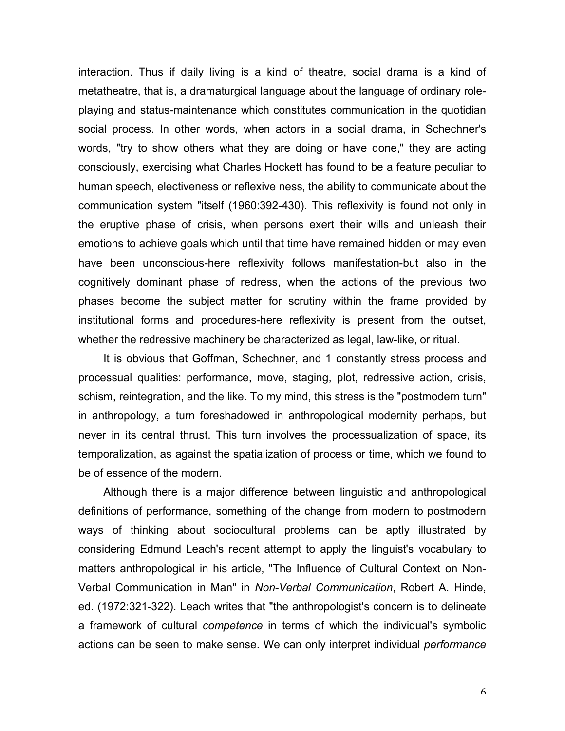interaction. Thus if daily living is a kind of theatre, social drama is a kind of metatheatre, that is, a dramaturgical language about the language of ordinary roleplaying and status-maintenance which constitutes communication in the quotidian social process. In other words, when actors in a social drama, in Schechner's words, "try to show others what they are doing or have done," they are acting consciously, exercising what Charles Hockett has found to be a feature peculiar to human speech, electiveness or reflexive ness, the ability to communicate about the communication system "itself (1960:392-430). This reflexivity is found not only in the eruptive phase of crisis, when persons exert their wills and unleash their emotions to achieve goals which until that time have remained hidden or may even have been unconscious-here reflexivity follows manifestation-but also in the cognitively dominant phase of redress, when the actions of the previous two phases become the subject matter for scrutiny within the frame provided by institutional forms and procedures-here reflexivity is present from the outset, whether the redressive machinery be characterized as legal, law-like, or ritual.

It is obvious that Goffman, Schechner, and 1 constantly stress process and processual qualities: performance, move, staging, plot, redressive action, crisis, schism, reintegration, and the like. To my mind, this stress is the "postmodern turn" in anthropology, a turn foreshadowed in anthropological modernity perhaps, but never in its central thrust. This turn involves the processualization of space, its temporalization, as against the spatialization of process or time, which we found to be of essence of the modern.

Although there is a major difference between linguistic and anthropological definitions of performance, something of the change from modern to postmodern ways of thinking about sociocultural problems can be aptly illustrated by considering Edmund Leach's recent attempt to apply the linguist's vocabulary to matters anthropological in his article, "The Influence of Cultural Context on Non-Verbal Communication in Man" in *Non-Verbal Communication*, Robert A. Hinde, ed. (1972:321-322). Leach writes that "the anthropologist's concern is to delineate a framework of cultural *competence* in terms of which the individual's symbolic actions can be seen to make sense. We can only interpret individual *performance*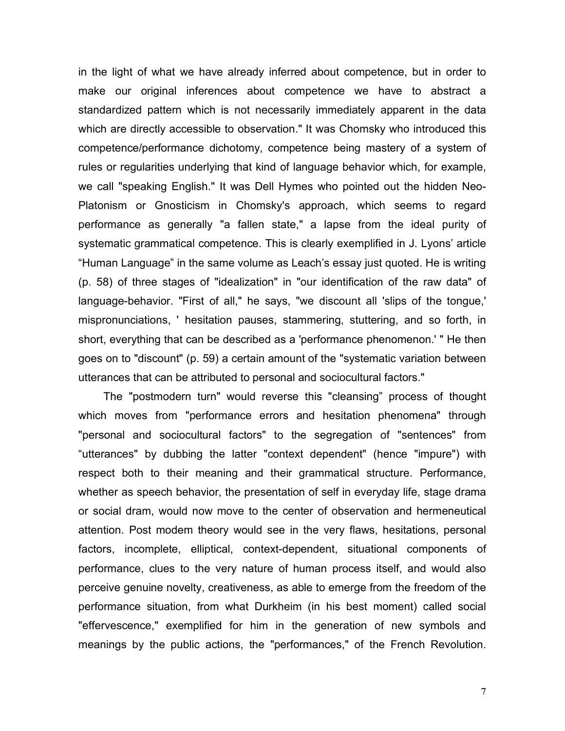in the light of what we have already inferred about competence, but in order to make our original inferences about competence we have to abstract a standardized pattern which is not necessarily immediately apparent in the data which are directly accessible to observation." It was Chomsky who introduced this competence/performance dichotomy, competence being mastery of a system of rules or regularities underlying that kind of language behavior which, for example, we call "speaking English." It was Dell Hymes who pointed out the hidden Neo-Platonism or Gnosticism in Chomsky's approach, which seems to regard performance as generally "a fallen state," a lapse from the ideal purity of systematic grammatical competence. This is clearly exemplified in J. Lyons' article "Human Language" in the same volume as Leach's essay just quoted. He is writing (p. 58) of three stages of "idealization" in "our identification of the raw data" of language-behavior. "First of all," he says, "we discount all 'slips of the tongue,' mispronunciations, ' hesitation pauses, stammering, stuttering, and so forth, in short, everything that can be described as a 'performance phenomenon.' " He then goes on to "discount" (p. 59) a certain amount of the "systematic variation between utterances that can be attributed to personal and sociocultural factors."

The "postmodern turn" would reverse this "cleansing" process of thought which moves from "performance errors and hesitation phenomena" through "personal and sociocultural factors" to the segregation of "sentences" from "utterances" by dubbing the latter "context dependent" (hence "impure") with respect both to their meaning and their grammatical structure. Performance, whether as speech behavior, the presentation of self in everyday life, stage drama or social dram, would now move to the center of observation and hermeneutical attention. Post modem theory would see in the very flaws, hesitations, personal factors, incomplete, elliptical, context-dependent, situational components of performance, clues to the very nature of human process itself, and would also perceive genuine novelty, creativeness, as able to emerge from the freedom of the performance situation, from what Durkheim (in his best moment) called social "effervescence," exemplified for him in the generation of new symbols and meanings by the public actions, the "performances," of the French Revolution.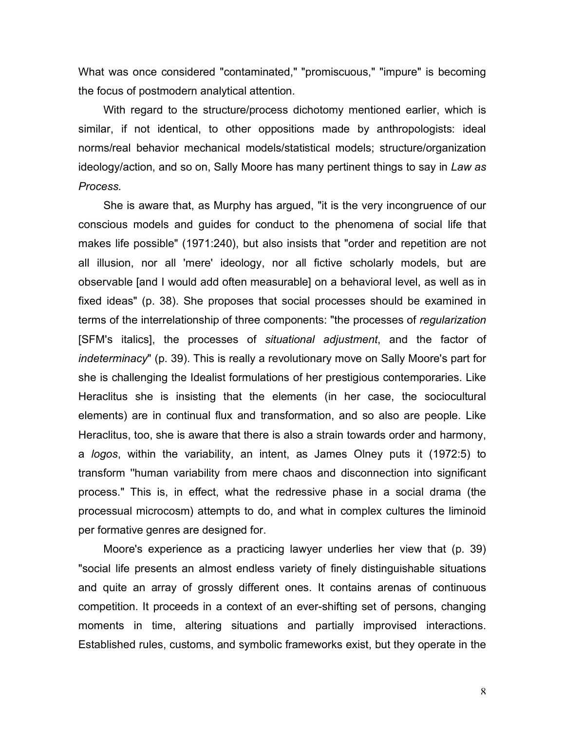What was once considered "contaminated," "promiscuous," "impure" is becoming the focus of postmodern analytical attention.

With regard to the structure/process dichotomy mentioned earlier, which is similar, if not identical, to other oppositions made by anthropologists: ideal norms/real behavior mechanical models/statistical models; structure/organization ideology/action, and so on, Sally Moore has many pertinent things to say in *Law as Process.*

She is aware that, as Murphy has argued, "it is the very incongruence of our conscious models and guides for conduct to the phenomena of social life that makes life possible" (1971:240), but also insists that "order and repetition are not all illusion, nor all 'mere' ideology, nor all fictive scholarly models, but are observable [and I would add often measurable] on a behavioral level, as well as in fixed ideas" (p. 38). She proposes that social processes should be examined in terms of the interrelationship of three components: "the processes of *regularization* [SFM's italics], the processes of *situational adjustment*, and the factor of *indeterminacy*" (p. 39). This is really a revolutionary move on Sally Moore's part for she is challenging the Idealist formulations of her prestigious contemporaries. Like Heraclitus she is insisting that the elements (in her case, the sociocultural elements) are in continual flux and transformation, and so also are people. Like Heraclitus, too, she is aware that there is also a strain towards order and harmony, a *logos*, within the variability, an intent, as James Olney puts it (1972:5) to transform ''human variability from mere chaos and disconnection into significant process." This is, in effect, what the redressive phase in a social drama (the processual microcosm) attempts to do, and what in complex cultures the liminoid per formative genres are designed for.

Moore's experience as a practicing lawyer underlies her view that (p. 39) "social life presents an almost endless variety of finely distinguishable situations and quite an array of grossly different ones. It contains arenas of continuous competition. It proceeds in a context of an ever-shifting set of persons, changing moments in time, altering situations and partially improvised interactions. Established rules, customs, and symbolic frameworks exist, but they operate in the

8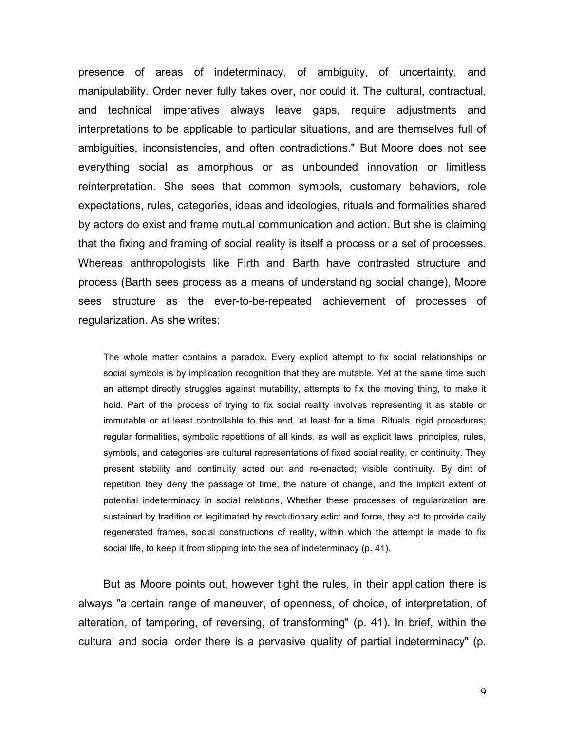presence of areas of indeterminacy, of ambiguity, of uncertainty, and manipulability. Order never fully takes over, nor could it. The cultural, contractual, and technical imperatives always leave gaps, require adjustments and interpretations to be applicable to particular situations, and are themselves full of ambiguities, inconsistencies, and often contradictions." But Moore does not see everything social as amorphous or as unbounded innovation or limitless reinterpretation. She sees that common symbols, customary behaviors, role expectations, rules, categories, ideas and ideologies, rituals and formalities shared by actors do exist and frame mutual communication and action. But she is claiming that the fixing and framing of social reality is itself a process or a set of processes. Whereas anthropologists like Firth and Barth have contrasted structure and process (Barth sees process as a means of understanding social change), Moore sees structure as the ever-to-be-repeated achievement of processes of regularization. As she writes:

The whole matter contains a paradox. Every explicit attempt to fix social relationships or social symbols is by implication recognition that they are mutable. Yet at the same time such an attempt directly struggles against mutability, attempts to fix the moving thing, to make it hold. Part of the process of trying to fix social reality involves representing it as stable or immutable or at least controllable to this end, at least for a time. Rituals, rigid procedures; regular formalities, symbolic repetitions of all kinds, as well as explicit laws, principles, rules, symbols, and categories are cultural representations of fixed social reality, or continuity. They present stability and continuity acted out and re-enacted; visible continuity. By dint of repetition they deny the passage of time, the nature of change, and the implicit extent of potential indeterminacy in social relations, Whether these processes of regularization are sustained by tradition or legitimated by revolutionary edict and force, they act to provide daily regenerated frames, social constructions of reality, within which the attempt is made to fix social life, to keep it from slipping into the sea of indeterminacy (p. 41).

But as Moore points out, however tight the rules, in their application there is always "a certain range of maneuver, of openness, of choice, of interpretation, of alteration, of tampering, of reversing, of transforming" (p. 41). In brief, within the cultural and social order there is a pervasive quality of partial indeterminacy" (p.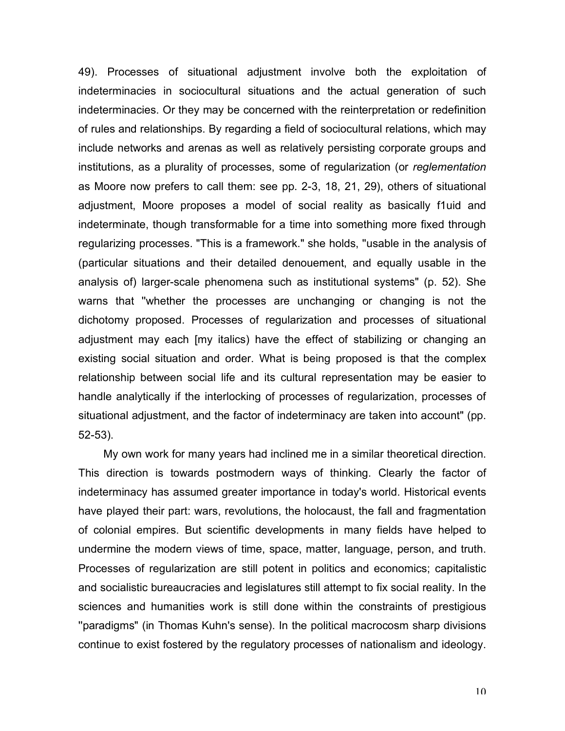49). Processes of situational adjustment involve both the exploitation of indeterminacies in sociocultural situations and the actual generation of such indeterminacies. Or they may be concerned with the reinterpretation or redefinition of rules and relationships. By regarding a field of sociocultural relations, which may include networks and arenas as well as relatively persisting corporate groups and institutions, as a plurality of processes, some of regularization (or *reglementation* as Moore now prefers to call them: see pp. 2-3, 18, 21, 29), others of situational adjustment, Moore proposes a model of social reality as basically f1uid and indeterminate, though transformable for a time into something more fixed through regularizing processes. "This is a framework." she holds, ''usable in the analysis of (particular situations and their detailed denouement, and equally usable in the analysis of) larger-scale phenomena such as institutional systems" (p. 52). She warns that ''whether the processes are unchanging or changing is not the dichotomy proposed. Processes of regularization and processes of situational adjustment may each [my italics) have the effect of stabilizing or changing an existing social situation and order. What is being proposed is that the complex relationship between social life and its cultural representation may be easier to handle analytically if the interlocking of processes of regularization, processes of situational adjustment, and the factor of indeterminacy are taken into account" (pp. 52-53).

My own work for many years had inclined me in a similar theoretical direction. This direction is towards postmodern ways of thinking. Clearly the factor of indeterminacy has assumed greater importance in today's world. Historical events have played their part: wars, revolutions, the holocaust, the fall and fragmentation of colonial empires. But scientific developments in many fields have helped to undermine the modern views of time, space, matter, language, person, and truth. Processes of regularization are still potent in politics and economics; capitalistic and socialistic bureaucracies and legislatures still attempt to fix social reality. In the sciences and humanities work is still done within the constraints of prestigious ''paradigms" (in Thomas Kuhn's sense). In the political macrocosm sharp divisions continue to exist fostered by the regulatory processes of nationalism and ideology.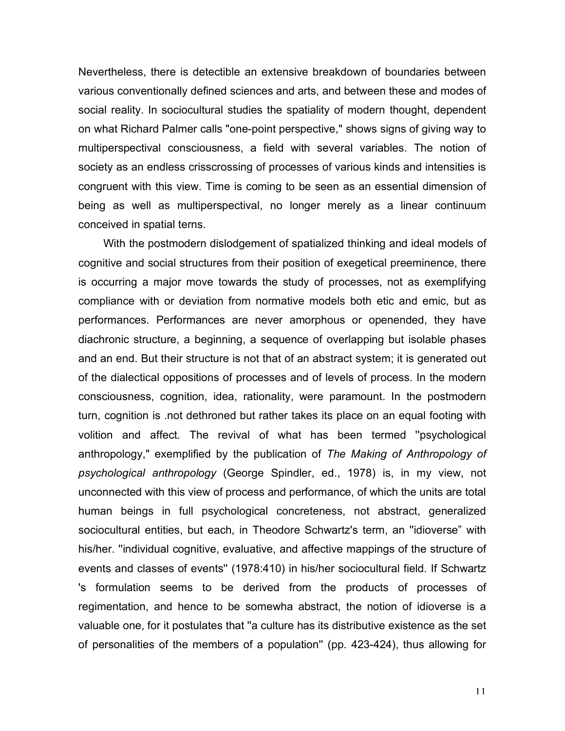Nevertheless, there is detectible an extensive breakdown of boundaries between various conventionally defined sciences and arts, and between these and modes of social reality. In sociocultural studies the spatiality of modern thought, dependent on what Richard Palmer calls "one-point perspective," shows signs of giving way to multiperspectival consciousness, a field with several variables. The notion of society as an endless crisscrossing of processes of various kinds and intensities is congruent with this view. Time is coming to be seen as an essential dimension of being as well as multiperspectival, no longer merely as a linear continuum conceived in spatial terns.

With the postmodern dislodgement of spatialized thinking and ideal models of cognitive and social structures from their position of exegetical preeminence, there is occurring a major move towards the study of processes, not as exemplifying compliance with or deviation from normative models both etic and emic, but as performances. Performances are never amorphous or openended, they have diachronic structure, a beginning, a sequence of overlapping but isolable phases and an end. But their structure is not that of an abstract system; it is generated out of the dialectical oppositions of processes and of levels of process. In the modern consciousness, cognition, idea, rationality, were paramount. In the postmodern turn, cognition is .not dethroned but rather takes its place on an equal footing with volition and affect. The revival of what has been termed ''psychological anthropology," exemplified by the publication of *The Making of Anthropology of psychological anthropology* (George Spindler, ed., 1978) is, in my view, not unconnected with this view of process and performance, of which the units are total human beings in full psychological concreteness, not abstract, generalized sociocultural entities, but each, in Theodore Schwartz's term, an ''idioverse" with his/her. ''individual cognitive, evaluative, and affective mappings of the structure of events and classes of events'' (1978:410) in his/her sociocultural field. If Schwartz 's formulation seems to be derived from the products of processes of regimentation, and hence to be somewha abstract, the notion of idioverse is a valuable one, for it postulates that ''a culture has its distributive existence as the set of personalities of the members of a population'' (pp. 423-424), thus allowing for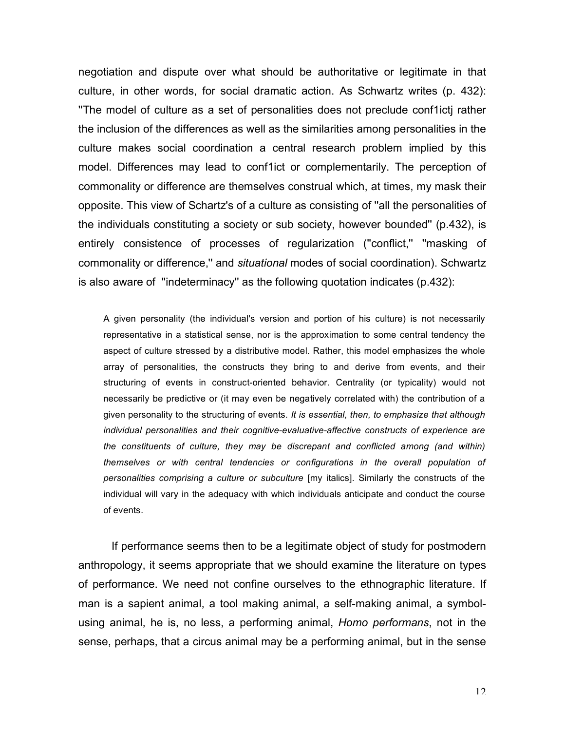negotiation and dispute over what should be authoritative or legitimate in that culture, in other words, for social dramatic action. As Schwartz writes (p. 432): ''The model of culture as a set of personalities does not preclude conf1ictj rather the inclusion of the differences as well as the similarities among personalities in the culture makes social coordination a central research problem implied by this model. Differences may lead to conf1ict or complementarily. The perception of commonality or difference are themselves construal which, at times, my mask their opposite. This view of Schartz's of a culture as consisting of ''all the personalities of the individuals constituting a society or sub society, however bounded'' (p.432), is entirely consistence of processes of regularization (''conflict,'' ''masking of commonality or difference,'' and *situational* modes of social coordination). Schwartz is also aware of ''indeterminacy'' as the following quotation indicates (p.432):

A given personality (the individual's version and portion of his culture) is not necessarily representative in a statistical sense, nor is the approximation to some central tendency the aspect of culture stressed by a distributive model. Rather, this model emphasizes the whole array of personalities, the constructs they bring to and derive from events, and their structuring of events in construct-oriented behavior. Centrality (or typicality) would not necessarily be predictive or (it may even be negatively correlated with) the contribution of a given personality to the structuring of events. *It is essential, then, to emphasize that although individual personalities and their cognitive-evaluative-affective constructs of experience are the constituents of culture, they may be discrepant and conflicted among (and within) themselves or with central tendencies or configurations in the overall population of personalities comprising a culture or subculture* [my italics]. Similarly the constructs of the individual will vary in the adequacy with which individuals anticipate and conduct the course of events.

If performance seems then to be a legitimate object of study for postmodern anthropology, it seems appropriate that we should examine the literature on types of performance. We need not confine ourselves to the ethnographic literature. If man is a sapient animal, a tool making animal, a self-making animal, a symbolusing animal, he is, no less, a performing animal, *Homo performans*, not in the sense, perhaps, that a circus animal may be a performing animal, but in the sense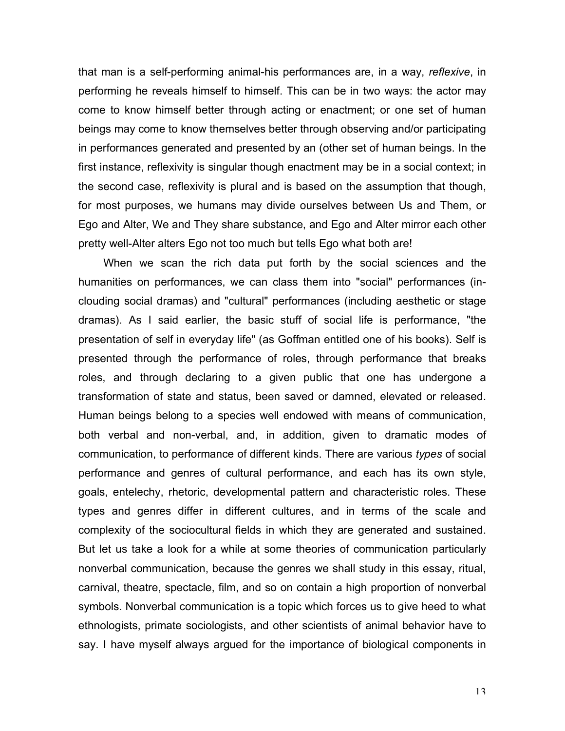that man is a self-performing animal-his performances are, in a way, *reflexive*, in performing he reveals himself to himself. This can be in two ways: the actor may come to know himself better through acting or enactment; or one set of human beings may come to know themselves better through observing and/or participating in performances generated and presented by an (other set of human beings. In the first instance, reflexivity is singular though enactment may be in a social context; in the second case, reflexivity is plural and is based on the assumption that though, for most purposes, we humans may divide ourselves between Us and Them, or Ego and Alter, We and They share substance, and Ego and Alter mirror each other pretty well-Alter alters Ego not too much but tells Ego what both are!

When we scan the rich data put forth by the social sciences and the humanities on performances, we can class them into "social" performances (inclouding social dramas) and "cultural" performances (including aesthetic or stage dramas). As I said earlier, the basic stuff of social life is performance, "the presentation of self in everyday life" (as Goffman entitled one of his books). Self is presented through the performance of roles, through performance that breaks roles, and through declaring to a given public that one has undergone a transformation of state and status, been saved or damned, elevated or released. Human beings belong to a species well endowed with means of communication, both verbal and non-verbal, and, in addition, given to dramatic modes of communication, to performance of different kinds. There are various *types* of social performance and genres of cultural performance, and each has its own style, goals, entelechy, rhetoric, developmental pattern and characteristic roles. These types and genres differ in different cultures, and in terms of the scale and complexity of the sociocultural fields in which they are generated and sustained. But let us take a look for a while at some theories of communication particularly nonverbal communication, because the genres we shall study in this essay, ritual, carnival, theatre, spectacle, film, and so on contain a high proportion of nonverbal symbols. Nonverbal communication is a topic which forces us to give heed to what ethnologists, primate sociologists, and other scientists of animal behavior have to say. I have myself always argued for the importance of biological components in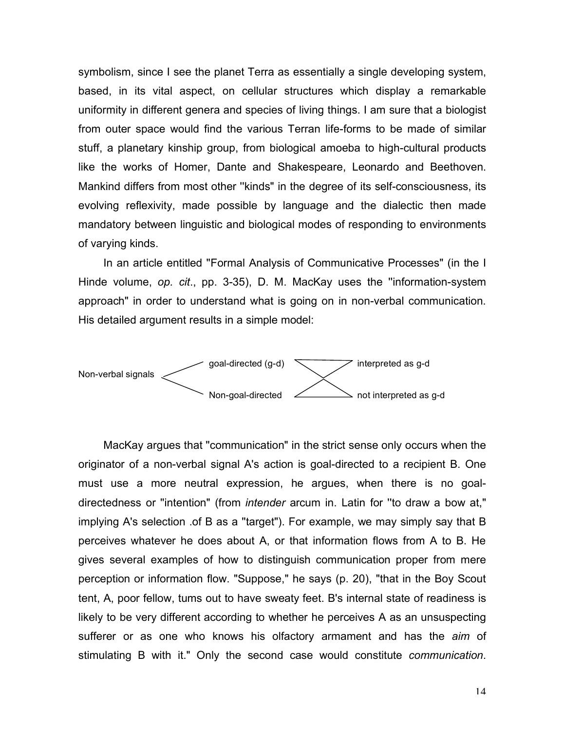symbolism, since I see the planet Terra as essentially a single developing system, based, in its vital aspect, on cellular structures which display a remarkable uniformity in different genera and species of living things. I am sure that a biologist from outer space would find the various Terran life-forms to be made of similar stuff, a planetary kinship group, from biological amoeba to high-cultural products like the works of Homer, Dante and Shakespeare, Leonardo and Beethoven. Mankind differs from most other ''kinds" in the degree of its self-consciousness, its evolving reflexivity, made possible by language and the dialectic then made mandatory between linguistic and biological modes of responding to environments of varying kinds.

In an article entitled ''Formal Analysis of Communicative Processes" (in the I Hinde volume, *op. cit*., pp. 3-35), D. M. MacKay uses the ''information-system approach" in order to understand what is going on in non-verbal communication. His detailed argument results in a simple model:



MacKay argues that ''communication" in the strict sense only occurs when the originator of a non-verbal signal A's action is goal-directed to a recipient B. One must use a more neutral expression, he argues, when there is no goaldirectedness or ''intention" (from *intender* arcum in. Latin for ''to draw a bow at," implying A's selection .of B as a ''target"). For example, we may simply say that B perceives whatever he does about A, or that information flows from A to B. He gives several examples of how to distinguish communication proper from mere perception or information flow. "Suppose," he says (p. 20), "that in the Boy Scout tent, A, poor fellow, tums out to have sweaty feet. B's internal state of readiness is likely to be very different according to whether he perceives A as an unsuspecting sufferer or as one who knows his olfactory armament and has the *aim* of stimulating B with it." Only the second case would constitute *communication*.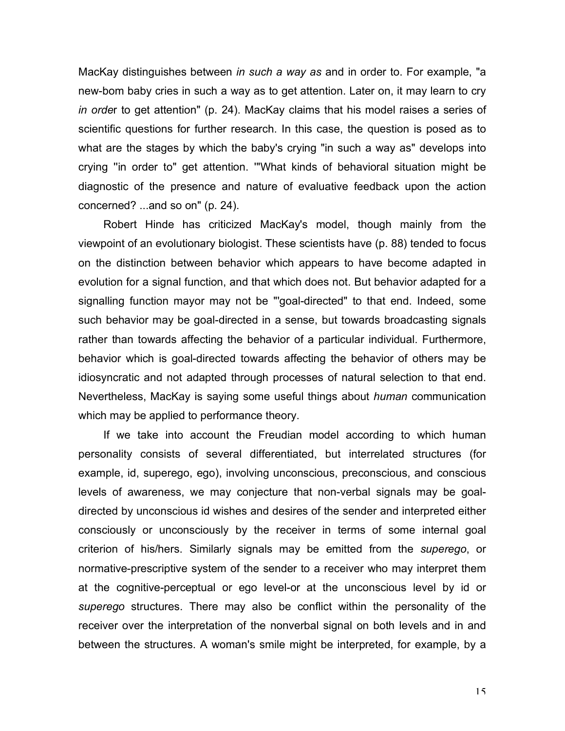MacKay distinguishes between *in such a way as* and in order to. For example, "a new-bom baby cries in such a way as to get attention. Later on, it may learn to cry *in orde*r to get attention" (p. 24). MacKay claims that his model raises a series of scientific questions for further research. In this case, the question is posed as to what are the stages by which the baby's crying "in such a way as" develops into crying ''in order to" get attention. '"What kinds of behavioral situation might be diagnostic of the presence and nature of evaluative feedback upon the action concerned? ...and so on" (p. 24).

Robert Hinde has criticized MacKay's model, though mainly from the viewpoint of an evolutionary biologist. These scientists have (p. 88) tended to focus on the distinction between behavior which appears to have become adapted in evolution for a signal function, and that which does not. But behavior adapted for a signalling function mayor may not be "'goal-directed" to that end. Indeed, some such behavior may be goal-directed in a sense, but towards broadcasting signals rather than towards affecting the behavior of a particular individual. Furthermore, behavior which is goal-directed towards affecting the behavior of others may be idiosyncratic and not adapted through processes of natural selection to that end. Nevertheless, MacKay is saying some useful things about *human* communication which may be applied to performance theory.

If we take into account the Freudian model according to which human personality consists of several differentiated, but interrelated structures (for example, id, superego, ego), involving unconscious, preconscious, and conscious levels of awareness, we may conjecture that non-verbal signals may be goaldirected by unconscious id wishes and desires of the sender and interpreted either consciously or unconsciously by the receiver in terms of some internal goal criterion of his/hers. Similarly signals may be emitted from the *superego*, or normative-prescriptive system of the sender to a receiver who may interpret them at the cognitive-perceptual or ego level-or at the unconscious level by id or *superego* structures. There may also be conflict within the personality of the receiver over the interpretation of the nonverbal signal on both levels and in and between the structures. A woman's smile might be interpreted, for example, by a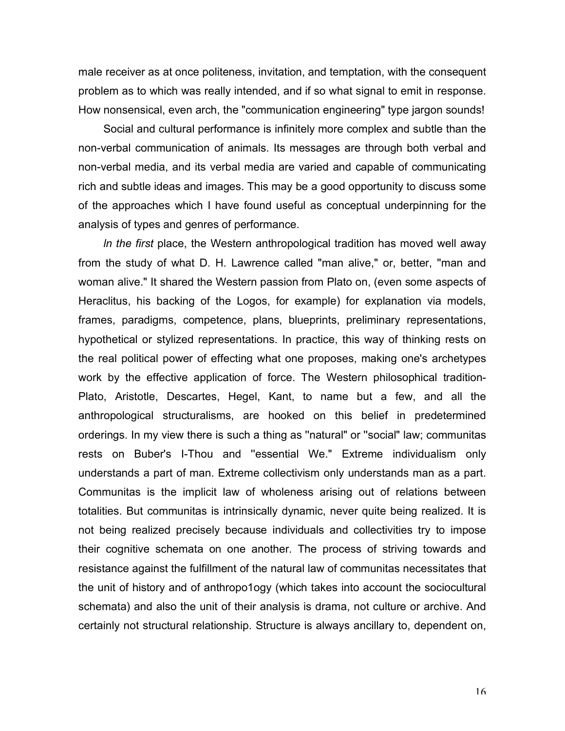male receiver as at once politeness, invitation, and temptation, with the consequent problem as to which was really intended, and if so what signal to emit in response. How nonsensical, even arch, the "communication engineering" type jargon sounds!

Social and cultural performance is infinitely more complex and subtle than the non-verbal communication of animals. Its messages are through both verbal and non-verbal media, and its verbal media are varied and capable of communicating rich and subtle ideas and images. This may be a good opportunity to discuss some of the approaches which I have found useful as conceptual underpinning for the analysis of types and genres of performance.

*ln the first* place, the Western anthropological tradition has moved well away from the study of what D. H. Lawrence called "man alive," or, better, ''man and woman alive." It shared the Western passion from Plato on, (even some aspects of Heraclitus, his backing of the Logos, for example) for explanation via models, frames, paradigms, competence, plans, blueprints, preliminary representations, hypothetical or stylized representations. In practice, this way of thinking rests on the real political power of effecting what one proposes, making one's archetypes work by the effective application of force. The Western philosophical tradition-Plato, Aristotle, Descartes, Hegel, Kant, to name but a few, and all the anthropological structuralisms, are hooked on this belief in predetermined orderings. In my view there is such a thing as ''natural" or ''social" law; communitas rests on Buber's I-Thou and ''essential We." Extreme individualism only understands a part of man. Extreme collectivism only understands man as a part. Communitas is the implicit law of wholeness arising out of relations between totalities. But communitas is intrinsically dynamic, never quite being realized. It is not being realized precisely because individuals and collectivities try to impose their cognitive schemata on one another. The process of striving towards and resistance against the fulfillment of the natural law of communitas necessitates that the unit of history and of anthropo1ogy (which takes into account the sociocultural schemata) and also the unit of their analysis is drama, not culture or archive. And certainly not structural relationship. Structure is always ancillary to, dependent on,

16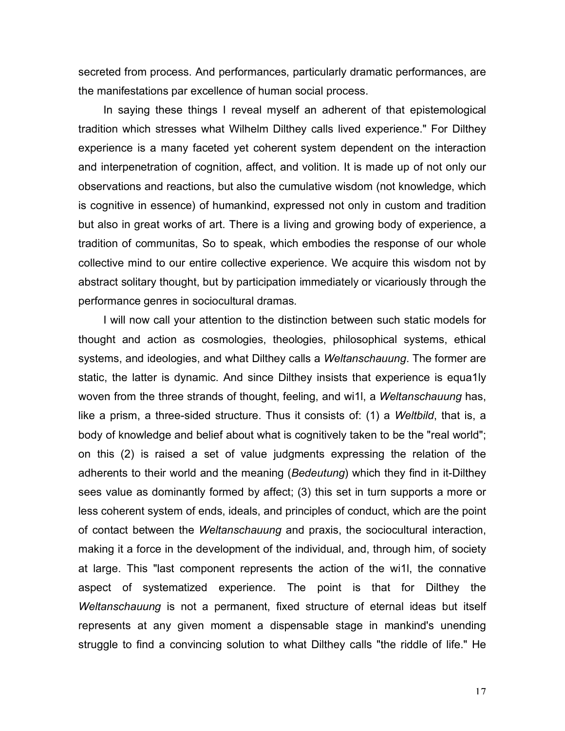secreted from process. And performances, particularly dramatic performances, are the manifestations par excellence of human social process.

In saying these things I reveal myself an adherent of that epistemological tradition which stresses what Wilhelm Dilthey calls lived experience." For Dilthey experience is a many faceted yet coherent system dependent on the interaction and interpenetration of cognition, affect, and volition. It is made up of not only our observations and reactions, but also the cumulative wisdom (not knowledge, which is cognitive in essence) of humankind, expressed not only in custom and tradition but also in great works of art. There is a living and growing body of experience, a tradition of communitas, So to speak, which embodies the response of our whole collective mind to our entire collective experience. We acquire this wisdom not by abstract solitary thought, but by participation immediately or vicariously through the performance genres in sociocultural dramas.

I will now call your attention to the distinction between such static models for thought and action as cosmologies, theologies, philosophical systems, ethical systems, and ideologies, and what Dilthey calls a *Weltanschauung*. The former are static, the latter is dynamic. And since Dilthey insists that experience is equa1ly woven from the three strands of thought, feeling, and wi1l, a *Weltanschauung* has, like a prism, a three-sided structure. Thus it consists of: (1) a *Weltbild*, that is, a body of knowledge and belief about what is cognitively taken to be the "real world"; on this (2) is raised a set of value judgments expressing the relation of the adherents to their world and the meaning (*Bedeutung*) which they find in it-Dilthey sees value as dominantly formed by affect; (3) this set in turn supports a more or less coherent system of ends, ideals, and principles of conduct, which are the point of contact between the *Weltanschauung* and praxis, the sociocultural interaction, making it a force in the development of the individual, and, through him, of society at large. This "last component represents the action of the wi1l, the connative aspect of systematized experience. The point is that for Dilthey the *Weltanschauung* is not a permanent, fixed structure of eternal ideas but itself represents at any given moment a dispensable stage in mankind's unending struggle to find a convincing solution to what Dilthey calls "the riddle of life." He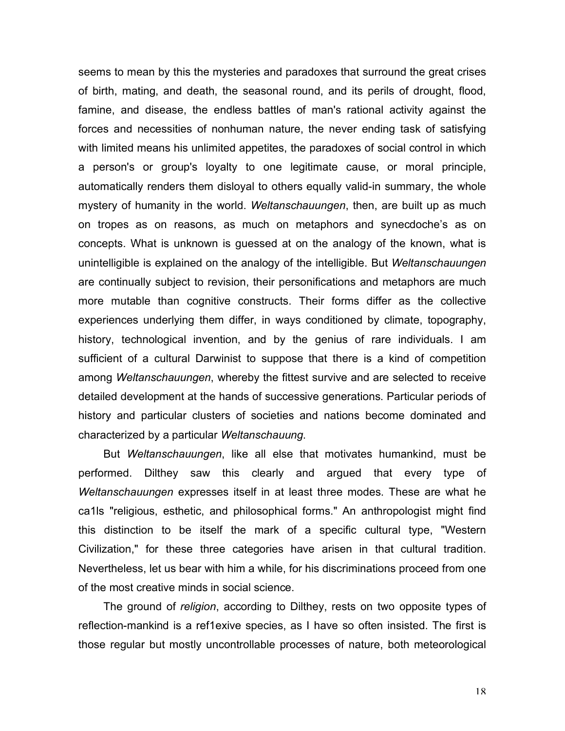seems to mean by this the mysteries and paradoxes that surround the great crises of birth, mating, and death, the seasonal round, and its perils of drought, flood, famine, and disease, the endless battles of man's rational activity against the forces and necessities of nonhuman nature, the never ending task of satisfying with limited means his unlimited appetites, the paradoxes of social control in which a person's or group's loyalty to one legitimate cause, or moral principle, automatically renders them disloyal to others equally valid-in summary, the whole mystery of humanity in the world. *Weltanschauungen*, then, are built up as much on tropes as on reasons, as much on metaphors and synecdoche's as on concepts. What is unknown is guessed at on the analogy of the known, what is unintelligible is explained on the analogy of the intelligible. But *Weltanschauungen* are continually subject to revision, their personifications and metaphors are much more mutable than cognitive constructs. Their forms differ as the collective experiences underlying them differ, in ways conditioned by climate, topography, history, technological invention, and by the genius of rare individuals. I am sufficient of a cultural Darwinist to suppose that there is a kind of competition among *Weltanschauungen*, whereby the fittest survive and are selected to receive detailed development at the hands of successive generations. Particular periods of history and particular clusters of societies and nations become dominated and characterized by a particular *Weltanschauung*.

But *Weltanschauungen*, like all else that motivates humankind, must be performed. Dilthey saw this clearly and argued that every type of *Weltanschauungen* expresses itself in at least three modes. These are what he ca1ls "religious, esthetic, and philosophical forms." An anthropologist might find this distinction to be itself the mark of a specific cultural type, "Western Civilization," for these three categories have arisen in that cultural tradition. Nevertheless, let us bear with him a while, for his discriminations proceed from one of the most creative minds in social science.

The ground of *religion*, according to Dilthey, rests on two opposite types of reflection-mankind is a ref1exive species, as I have so often insisted. The first is those regular but mostly uncontrollable processes of nature, both meteorological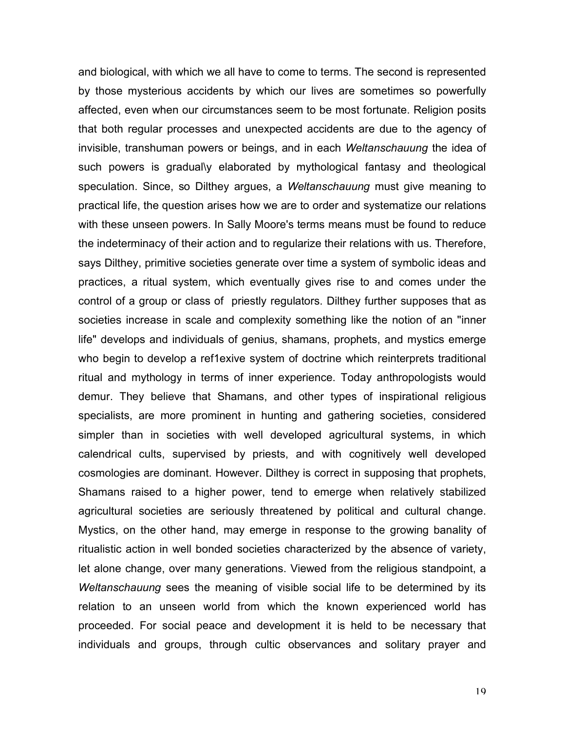and biological, with which we all have to come to terms. The second is represented by those mysterious accidents by which our lives are sometimes so powerfully affected, even when our circumstances seem to be most fortunate. Religion posits that both regular processes and unexpected accidents are due to the agency of invisible, transhuman powers or beings, and in each *Weltanschauung* the idea of such powers is gradual\y elaborated by mythological fantasy and theological speculation. Since, so Dilthey argues, a *Weltanschauung* must give meaning to practical life, the question arises how we are to order and systematize our relations with these unseen powers. In Sally Moore's terms means must be found to reduce the indeterminacy of their action and to regularize their relations with us. Therefore, says Dilthey, primitive societies generate over time a system of symbolic ideas and practices, a ritual system, which eventually gives rise to and comes under the control of a group or class of priestly regulators. Dilthey further supposes that as societies increase in scale and complexity something like the notion of an ''inner life" develops and individuals of genius, shamans, prophets, and mystics emerge who begin to develop a ref1exive system of doctrine which reinterprets traditional ritual and mythology in terms of inner experience. Today anthropologists would demur. They believe that Shamans, and other types of inspirational religious specialists, are more prominent in hunting and gathering societies, considered simpler than in societies with well developed agricultural systems, in which calendrical cults, supervised by priests, and with cognitively well developed cosmologies are dominant. However. Dilthey is correct in supposing that prophets, Shamans raised to a higher power, tend to emerge when relatively stabilized agricultural societies are seriously threatened by political and cultural change. Mystics, on the other hand, may emerge in response to the growing banality of ritualistic action in well bonded societies characterized by the absence of variety, let alone change, over many generations. Viewed from the religious standpoint, a *Weltanschauung* sees the meaning of visible social life to be determined by its relation to an unseen world from which the known experienced world has proceeded. For social peace and development it is held to be necessary that individuals and groups, through cultic observances and solitary prayer and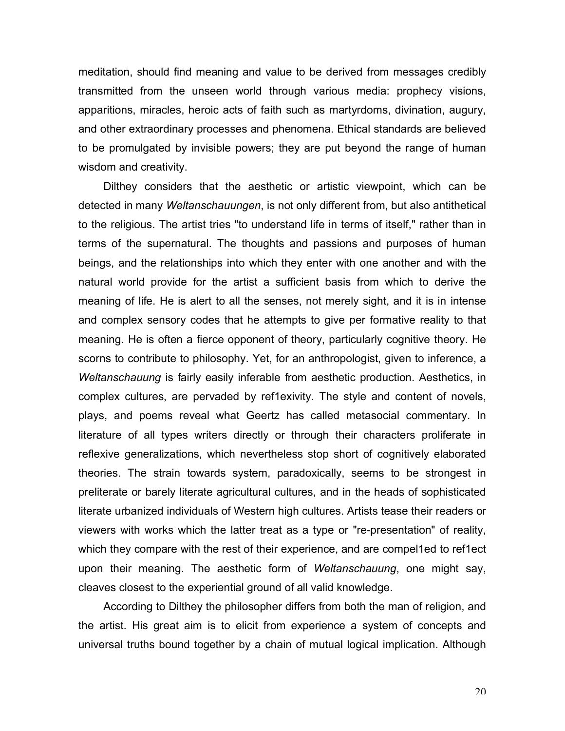meditation, should find meaning and value to be derived from messages credibly transmitted from the unseen world through various media: prophecy visions, apparitions, miracles, heroic acts of faith such as martyrdoms, divination, augury, and other extraordinary processes and phenomena. Ethical standards are believed to be promulgated by invisible powers; they are put beyond the range of human wisdom and creativity.

Dilthey considers that the aesthetic or artistic viewpoint, which can be detected in many *Weltanschauungen*, is not only different from, but also antithetical to the religious. The artist tries "to understand life in terms of itself," rather than in terms of the supernatural. The thoughts and passions and purposes of human beings, and the relationships into which they enter with one another and with the natural world provide for the artist a sufficient basis from which to derive the meaning of life. He is alert to all the senses, not merely sight, and it is in intense and complex sensory codes that he attempts to give per formative reality to that meaning. He is often a fierce opponent of theory, particularly cognitive theory. He scorns to contribute to philosophy. Yet, for an anthropologist, given to inference, a *Weltanschauung* is fairly easily inferable from aesthetic production. Aesthetics, in complex cultures, are pervaded by ref1exivity. The style and content of novels, plays, and poems reveal what Geertz has called metasocial commentary. In literature of all types writers directly or through their characters proliferate in reflexive generalizations, which nevertheless stop short of cognitively elaborated theories. The strain towards system, paradoxically, seems to be strongest in preliterate or barely literate agricultural cultures, and in the heads of sophisticated literate urbanized individuals of Western high cultures. Artists tease their readers or viewers with works which the latter treat as a type or "re-presentation" of reality, which they compare with the rest of their experience, and are compel1ed to ref1ect upon their meaning. The aesthetic form of *Weltanschauung*, one might say, cleaves closest to the experiential ground of all valid knowledge.

According to Dilthey the philosopher differs from both the man of religion, and the artist. His great aim is to elicit from experience a system of concepts and universal truths bound together by a chain of mutual logical implication. Although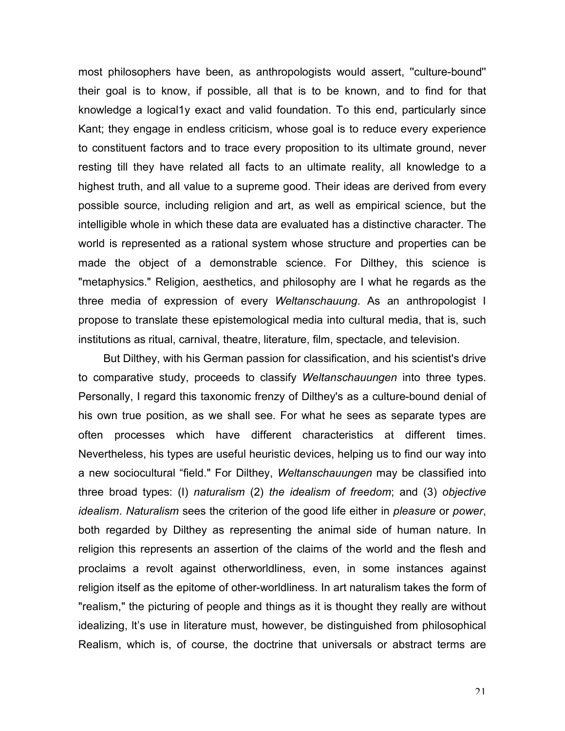most philosophers have been, as anthropologists would assert, ''culture-bound'' their goal is to know, if possible, all that is to be known, and to find for that knowledge a logical1y exact and valid foundation. To this end, particularly since Kant; they engage in endless criticism, whose goal is to reduce every experience to constituent factors and to trace every proposition to its ultimate ground, never resting till they have related all facts to an ultimate reality, all knowledge to a highest truth, and all value to a supreme good. Their ideas are derived from every possible source, including religion and art, as well as empirical science, but the intelligible whole in which these data are evaluated has a distinctive character. The world is represented as a rational system whose structure and properties can be made the object of a demonstrable science. For Dilthey, this science is "metaphysics." Religion, aesthetics, and philosophy are I what he regards as the three media of expression of every *Weltanschauung*. As an anthropologist I propose to translate these epistemological media into cultural media, that is, such institutions as ritual, carnival, theatre, literature, film, spectacle, and television.

But Dilthey, with his German passion for classification, and his scientist's drive to comparative study, proceeds to classify *Weltanschauungen* into three types. Personally, I regard this taxonomic frenzy of Dilthey's as a culture-bound denial of his own true position, as we shall see. For what he sees as separate types are often processes which have different characteristics at different times. Nevertheless, his types are useful heuristic devices, helping us to find our way into a new sociocultural "field." For Dilthey, *Weltanschauungen* may be classified into three broad types: (I) *naturalism* (2) *the idealism of freedom*; and (3) *objective idealism*. *Naturalism* sees the criterion of the good life either in *pleasure* or *power*, both regarded by Dilthey as representing the animal side of human nature. In religion this represents an assertion of the claims of the world and the flesh and proclaims a revolt against otherworldliness, even, in some instances against religion itself as the epitome of other-worldliness. In art naturalism takes the form of "realism," the picturing of people and things as it is thought they really are without idealizing, lt's use in literature must, however, be distinguished from philosophical Realism, which is, of course, the doctrine that universals or abstract terms are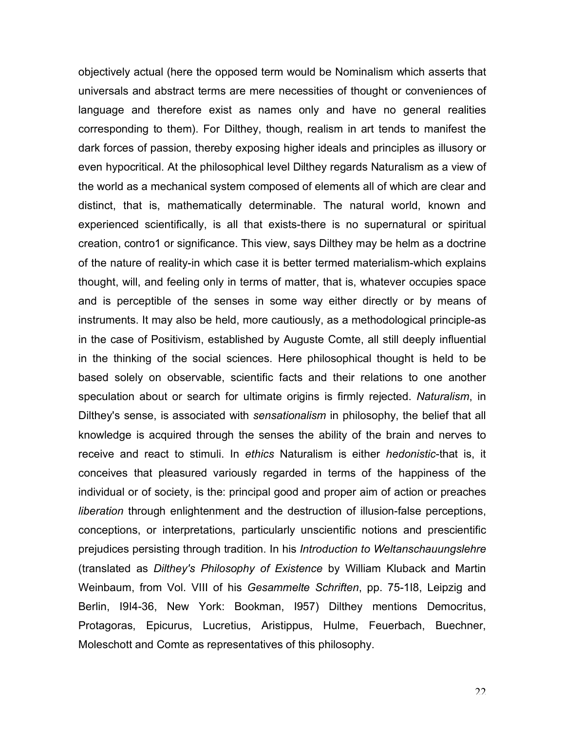objectively actual (here the opposed term would be Nominalism which asserts that universals and abstract terms are mere necessities of thought or conveniences of language and therefore exist as names only and have no general realities corresponding to them). For Dilthey, though, realism in art tends to manifest the dark forces of passion, thereby exposing higher ideals and principles as illusory or even hypocritical. At the philosophical level Dilthey regards Naturalism as a view of the world as a mechanical system composed of elements all of which are clear and distinct, that is, mathematically determinable. The natural world, known and experienced scientifically, is all that exists-there is no supernatural or spiritual creation, contro1 or significance. This view, says Dilthey may be helm as a doctrine of the nature of reality-in which case it is better termed materialism-which explains thought, will, and feeling only in terms of matter, that is, whatever occupies space and is perceptible of the senses in some way either directly or by means of instruments. It may also be held, more cautiously, as a methodological principle-as in the case of Positivism, established by Auguste Comte, all still deeply influential in the thinking of the social sciences. Here philosophical thought is held to be based solely on observable, scientific facts and their relations to one another speculation about or search for ultimate origins is firmly rejected. *Naturalism*, in Dilthey's sense, is associated with *sensationalism* in philosophy, the belief that all knowledge is acquired through the senses the ability of the brain and nerves to receive and react to stimuli. In *ethics* Naturalism is either *hedonistic*-that is, it conceives that pleasured variously regarded in terms of the happiness of the individual or of society, is the: principal good and proper aim of action or preaches *liberation* through enlightenment and the destruction of illusion-false perceptions, conceptions, or interpretations, particularly unscientific notions and prescientific prejudices persisting through tradition. In his *Introduction to Weltanschauungslehre* (translated as *Dilthey's Philosophy of Existence* by William Kluback and Martin Weinbaum, from Vol. VIII of his *Gesammelte Schriften*, pp. 75-1I8, Leipzig and Berlin, I9I4-36, New York: Bookman, I957) Dilthey mentions Democritus, Protagoras, Epicurus, Lucretius, Aristippus, Hulme, Feuerbach, Buechner, Moleschott and Comte as representatives of this philosophy.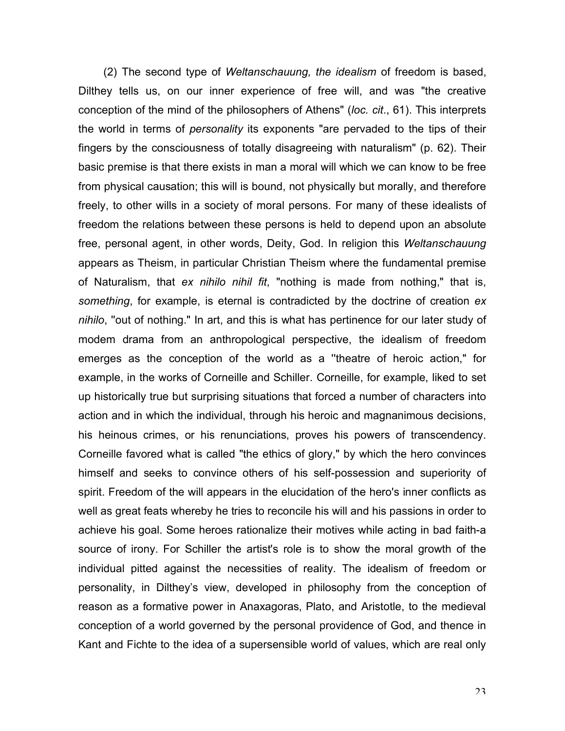(2) The second type of *Weltanschauung, the idealism* of freedom is based, Dilthey tells us, on our inner experience of free will, and was "the creative conception of the mind of the philosophers of Athens" (*loc. cit*., 61). This interprets the world in terms of *personality* its exponents "are pervaded to the tips of their fingers by the consciousness of totally disagreeing with naturalism" (p. 62). Their basic premise is that there exists in man a moral will which we can know to be free from physical causation; this will is bound, not physically but morally, and therefore freely, to other wills in a society of moral persons. For many of these idealists of freedom the relations between these persons is held to depend upon an absolute free, personal agent, in other words, Deity, God. In religion this *Weltanschauung* appears as Theism, in particular Christian Theism where the fundamental premise of Naturalism, that *ex nihilo nihil fit*, "nothing is made from nothing," that is, *something*, for example, is eternal is contradicted by the doctrine of creation *ex nihilo*, ''out of nothing." In art, and this is what has pertinence for our later study of modem drama from an anthropological perspective, the idealism of freedom emerges as the conception of the world as a ''theatre of heroic action," for example, in the works of Corneille and Schiller. Corneille, for example, liked to set up historically true but surprising situations that forced a number of characters into action and in which the individual, through his heroic and magnanimous decisions, his heinous crimes, or his renunciations, proves his powers of transcendency. Corneille favored what is called "the ethics of glory," by which the hero convinces himself and seeks to convince others of his self-possession and superiority of spirit. Freedom of the will appears in the elucidation of the hero's inner conflicts as well as great feats whereby he tries to reconcile his will and his passions in order to achieve his goal. Some heroes rationalize their motives while acting in bad faith-a source of irony. For Schiller the artist's role is to show the moral growth of the individual pitted against the necessities of reality. The idealism of freedom or personality, in Dilthey's view, developed in philosophy from the conception of reason as a formative power in Anaxagoras, Plato, and Aristotle, to the medieval conception of a world governed by the personal providence of God, and thence in Kant and Fichte to the idea of a supersensible world of values, which are real only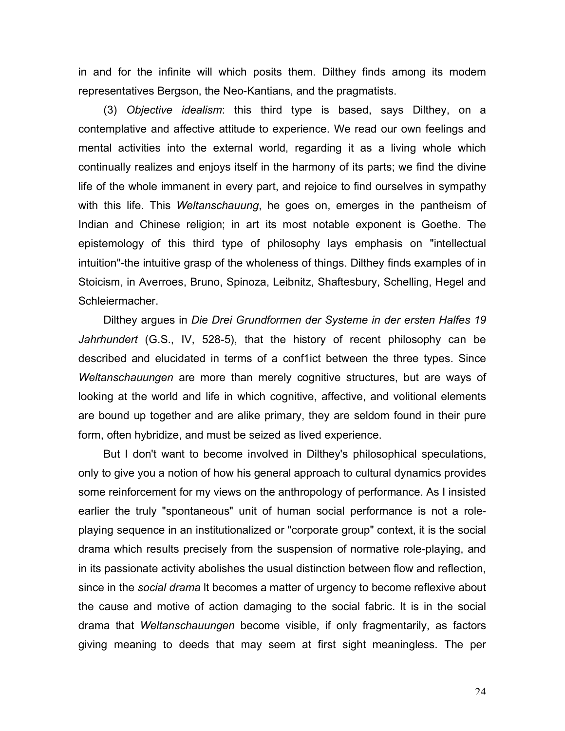in and for the infinite will which posits them. Dilthey finds among its modem representatives Bergson, the Neo-Kantians, and the pragmatists.

(3) *Objective idealism*: this third type is based, says Dilthey, on a contemplative and affective attitude to experience. We read our own feelings and mental activities into the external world, regarding it as a living whole which continually realizes and enjoys itself in the harmony of its parts; we find the divine life of the whole immanent in every part, and rejoice to find ourselves in sympathy with this life. This *Weltanschauung*, he goes on, emerges in the pantheism of Indian and Chinese religion; in art its most notable exponent is Goethe. The epistemology of this third type of philosophy lays emphasis on "intellectual intuition"-the intuitive grasp of the wholeness of things. Dilthey finds examples of in Stoicism, in Averroes, Bruno, Spinoza, Leibnitz, Shaftesbury, Schelling, Hegel and Schleiermacher.

Dilthey argues in *Die Drei Grundformen der Systeme in der ersten Halfes 19 Jahrhundert* (G.S., IV, 528-5), that the history of recent philosophy can be described and elucidated in terms of a conf1ict between the three types. Since *Weltanschauungen* are more than merely cognitive structures, but are ways of looking at the world and life in which cognitive, affective, and volitional elements are bound up together and are alike primary, they are seldom found in their pure form, often hybridize, and must be seized as lived experience.

But I don't want to become involved in Dilthey's philosophical speculations, only to give you a notion of how his general approach to cultural dynamics provides some reinforcement for my views on the anthropology of performance. As I insisted earlier the truly "spontaneous" unit of human social performance is not a roleplaying sequence in an institutionalized or "corporate group" context, it is the social drama which results precisely from the suspension of normative role-playing, and in its passionate activity abolishes the usual distinction between flow and reflection, since in the *social drama* lt becomes a matter of urgency to become reflexive about the cause and motive of action damaging to the social fabric. lt is in the social drama that *Weltanschauungen* become visible, if only fragmentarily, as factors giving meaning to deeds that may seem at first sight meaningless. The per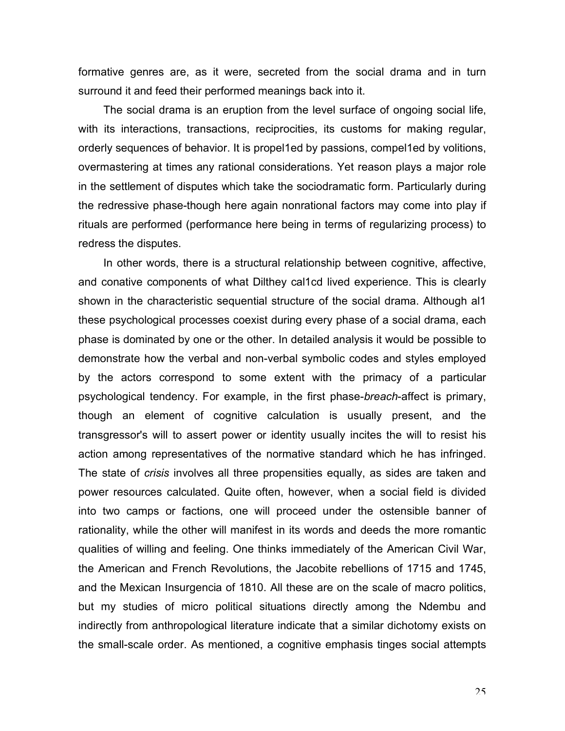formative genres are, as it were, secreted from the social drama and in turn surround it and feed their performed meanings back into it.

The social drama is an eruption from the level surface of ongoing social life, with its interactions, transactions, reciprocities, its customs for making regular, orderly sequences of behavior. It is propel1ed by passions, compel1ed by volitions, overmastering at times any rational considerations. Yet reason plays a major role in the settlement of disputes which take the sociodramatic form. Particularly during the redressive phase-though here again nonrational factors may come into play if rituals are performed (performance here being in terms of regularizing process) to redress the disputes.

In other words, there is a structural relationship between cognitive, affective, and conative components of what Dilthey cal1cd lived experience. This is clearIy shown in the characteristic sequential structure of the social drama. Although al1 these psychological processes coexist during every phase of a social drama, each phase is dominated by one or the other. In detailed analysis it would be possible to demonstrate how the verbal and non-verbal symbolic codes and styles employed by the actors correspond to some extent with the primacy of a particular psychological tendency. For example, in the first phase-*breach*-affect is primary, though an element of cognitive calculation is usually present, and the transgressor's will to assert power or identity usually incites the will to resist his action among representatives of the normative standard which he has infringed. The state of *crisis* involves all three propensities equally, as sides are taken and power resources calculated. Quite often, however, when a social field is divided into two camps or factions, one will proceed under the ostensible banner of rationality, while the other will manifest in its words and deeds the more romantic qualities of willing and feeling. One thinks immediately of the American Civil War, the American and French Revolutions, the Jacobite rebellions of 1715 and 1745, and the Mexican Insurgencia of 1810. All these are on the scale of macro politics, but my studies of micro political situations directly among the Ndembu and indirectly from anthropological literature indicate that a similar dichotomy exists on the small-scale order. As mentioned, a cognitive emphasis tinges social attempts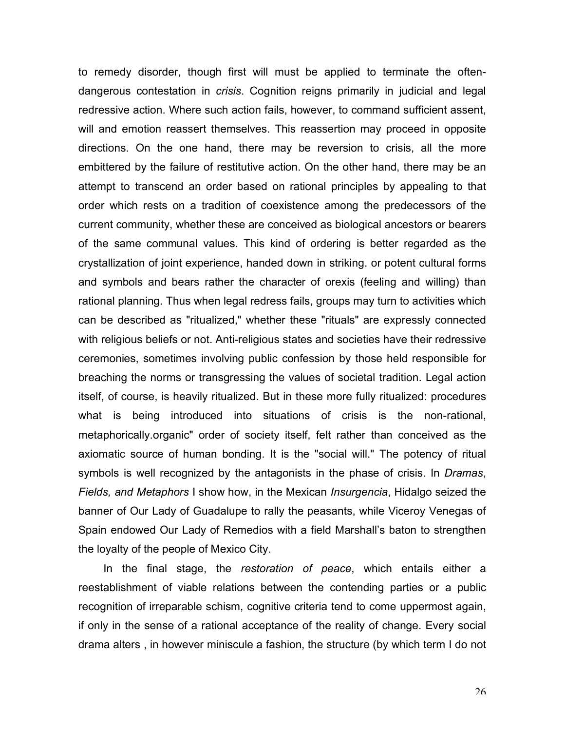to remedy disorder, though first will must be applied to terminate the oftendangerous contestation in *crisis*. Cognition reigns primarily in judicial and legal redressive action. Where such action fails, however, to command sufficient assent, will and emotion reassert themselves. This reassertion may proceed in opposite directions. On the one hand, there may be reversion to crisis, all the more embittered by the failure of restitutive action. On the other hand, there may be an attempt to transcend an order based on rational principles by appealing to that order which rests on a tradition of coexistence among the predecessors of the current community, whether these are conceived as biological ancestors or bearers of the same communal values. This kind of ordering is better regarded as the crystallization of joint experience, handed down in striking. or potent cultural forms and symbols and bears rather the character of orexis (feeling and willing) than rational planning. Thus when legal redress fails, groups may turn to activities which can be described as "ritualized," whether these "rituals" are expressly connected with religious beliefs or not. Anti-religious states and societies have their redressive ceremonies, sometimes involving public confession by those held responsible for breaching the norms or transgressing the values of societal tradition. Legal action itself, of course, is heavily ritualized. But in these more fully ritualized: procedures what is being introduced into situations of crisis is the non-rational, metaphorically.organic" order of society itself, felt rather than conceived as the axiomatic source of human bonding. It is the "social will." The potency of ritual symbols is well recognized by the antagonists in the phase of crisis. In *Dramas*, *Fields, and Metaphors* I show how, in the Mexican *Insurgencia*, Hidalgo seized the banner of Our Lady of Guadalupe to rally the peasants, while Viceroy Venegas of Spain endowed Our Lady of Remedios with a field Marshall's baton to strengthen the loyalty of the people of Mexico City.

In the final stage, the *restoration of peace*, which entails either a reestablishment of viable relations between the contending parties or a public recognition of irreparable schism, cognitive criteria tend to come uppermost again, if only in the sense of a rational acceptance of the reality of change. Every social drama alters , in however miniscule a fashion, the structure (by which term I do not

26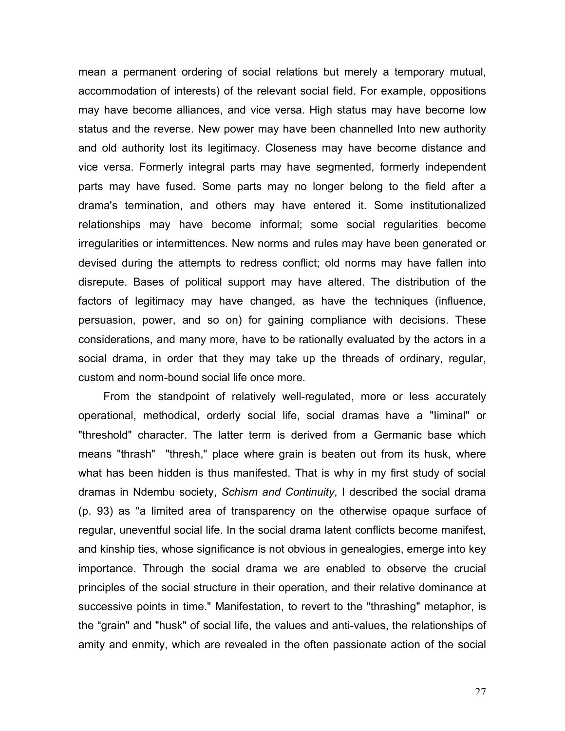mean a permanent ordering of social relations but merely a temporary mutual, accommodation of interests) of the relevant social field. For example, oppositions may have become alliances, and vice versa. High status may have become low status and the reverse. New power may have been channelled Into new authority and old authority lost its legitimacy. Closeness may have become distance and vice versa. Formerly integral parts may have segmented, formerly independent parts may have fused. Some parts may no longer belong to the field after a drama's termination, and others may have entered it. Some institutionalized relationships may have become informal; some social regularities become irregularities or intermittences. New norms and rules may have been generated or devised during the attempts to redress conflict; old norms may have fallen into disrepute. Bases of political support may have altered. The distribution of the factors of legitimacy may have changed, as have the techniques (influence, persuasion, power, and so on) for gaining compliance with decisions. These considerations, and many more, have to be rationally evaluated by the actors in a social drama, in order that they may take up the threads of ordinary, regular, custom and norm-bound social life once more.

From the standpoint of relatively well-regulated, more or less accurately operational, methodical, orderly social life, social dramas have a "Iiminal" or "threshold" character. The latter term is derived from a Germanic base which means "thrash" "thresh," place where grain is beaten out from its husk, where what has been hidden is thus manifested. That is why in my first study of social dramas in Ndembu society, *Schism and Continuity*, I described the social drama (p. 93) as "a limited area of transparency on the otherwise opaque surface of regular, uneventful social life. In the social drama latent conflicts become manifest, and kinship ties, whose significance is not obvious in genealogies, emerge into key importance. Through the social drama we are enabled to observe the crucial principles of the social structure in their operation, and their relative dominance at successive points in time." Manifestation, to revert to the "thrashing" metaphor, is the "grain" and "husk" of social life, the values and anti-values, the relationships of amity and enmity, which are revealed in the often passionate action of the social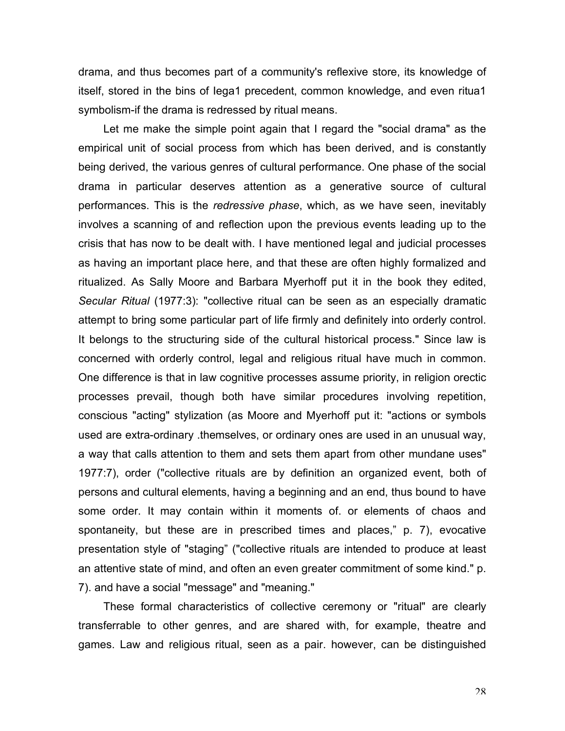drama, and thus becomes part of a community's reflexive store, its knowledge of itself, stored in the bins of lega1 precedent, common knowledge, and even ritua1 symbolism-if the drama is redressed by ritual means.

Let me make the simple point again that I regard the "social drama" as the empirical unit of social process from which has been derived, and is constantly being derived, the various genres of cultural performance. One phase of the social drama in particular deserves attention as a generative source of cultural performances. This is the *redressive phase*, which, as we have seen, inevitably involves a scanning of and reflection upon the previous events leading up to the crisis that has now to be dealt with. I have mentioned legal and judicial processes as having an important place here, and that these are often highly formalized and ritualized. As Sally Moore and Barbara Myerhoff put it in the book they edited, *Secular Ritual* (1977:3): "collective ritual can be seen as an especially dramatic attempt to bring some particular part of life firmly and definitely into orderly control. It belongs to the structuring side of the cultural historical process." Since law is concerned with orderly control, legal and religious ritual have much in common. One difference is that in law cognitive processes assume priority, in religion orectic processes prevail, though both have similar procedures involving repetition, conscious "acting" stylization (as Moore and Myerhoff put it: "actions or symbols used are extra-ordinary .themselves, or ordinary ones are used in an unusual way, a way that calls attention to them and sets them apart from other mundane uses" 1977:7), order ("collective rituals are by definition an organized event, both of persons and cultural elements, having a beginning and an end, thus bound to have some order. It may contain within it moments of. or elements of chaos and spontaneity, but these are in prescribed times and places," p. 7), evocative presentation style of "staging" ("collective rituals are intended to produce at least an attentive state of mind, and often an even greater commitment of some kind." p. 7). and have a social "message" and "meaning."

These formal characteristics of collective ceremony or "ritual" are clearly transferrable to other genres, and are shared with, for example, theatre and games. Law and religious ritual, seen as a pair. however, can be distinguished

28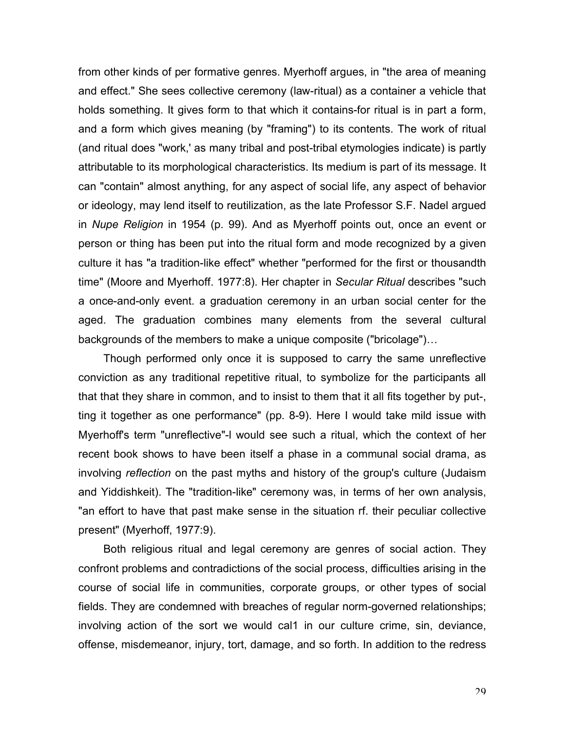from other kinds of per formative genres. Myerhoff argues, in "the area of meaning and effect." She sees collective ceremony (law-ritual) as a container a vehicle that holds something. It gives form to that which it contains-for ritual is in part a form, and a form which gives meaning (by "framing") to its contents. The work of ritual (and ritual does "work,' as many tribal and post-tribal etymologies indicate) is partly attributable to its morphological characteristics. Its medium is part of its message. It can "contain" almost anything, for any aspect of social life, any aspect of behavior or ideology, may lend itself to reutilization, as the late Professor S.F. Nadel argued in *Nupe Religion* in 1954 (p. 99). And as Myerhoff points out, once an event or person or thing has been put into the ritual form and mode recognized by a given culture it has "a tradition-like effect" whether "performed for the first or thousandth time" (Moore and Myerhoff. 1977:8). Her chapter in *Secular Ritual* describes "such a once-and-only event. a graduation ceremony in an urban social center for the aged. The graduation combines many elements from the several cultural backgrounds of the members to make a unique composite ("bricolage")…

Though performed only once it is supposed to carry the same unreflective conviction as any traditional repetitive ritual, to symbolize for the participants all that that they share in common, and to insist to them that it all fits together by put-, ting it together as one performance" (pp. 8-9). Here I would take mild issue with Myerhoff's term "unreflective"-l would see such a ritual, which the context of her recent book shows to have been itself a phase in a communal social drama, as involving *reflection* on the past myths and history of the group's culture (Judaism and Yiddishkeit). The "tradition-like" ceremony was, in terms of her own analysis, "an effort to have that past make sense in the situation rf. their peculiar collective present" (Myerhoff, 1977:9).

Both religious ritual and legal ceremony are genres of social action. They confront problems and contradictions of the social process, difficulties arising in the course of social life in communities, corporate groups, or other types of social fields. They are condemned with breaches of regular norm-governed relationships; involving action of the sort we would cal1 in our culture crime, sin, deviance, offense, misdemeanor, injury, tort, damage, and so forth. In addition to the redress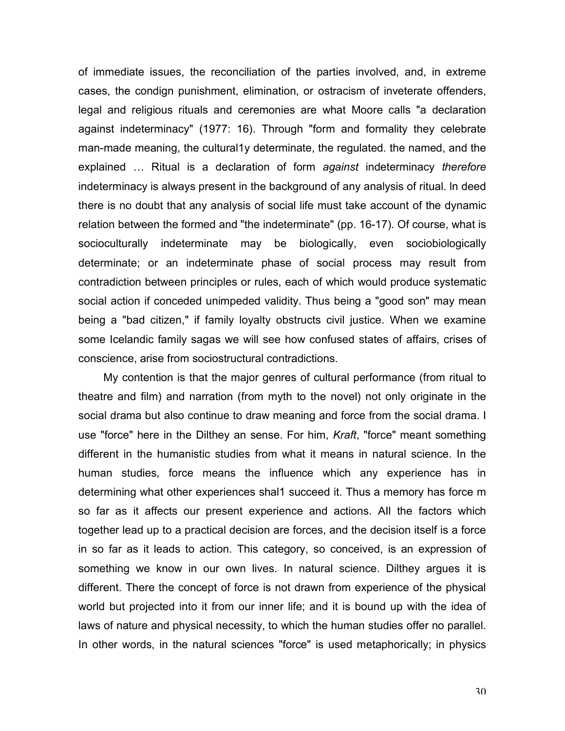of immediate issues, the reconciliation of the parties involved, and, in extreme cases, the condign punishment, elimination, or ostracism of inveterate offenders, legal and religious rituals and ceremonies are what Moore calls "a declaration against indeterminacy" (1977: 16). Through "form and formality they celebrate man-made meaning, the cultural1y determinate, the regulated. the named, and the explained … Ritual is a declaration of form *against* indeterminacy *therefore* indeterminacy is always present in the background of any analysis of ritual. ln deed there is no doubt that any analysis of social life must take account of the dynamic relation between the formed and "the indeterminate" (pp. 16-17). Of course, what is socioculturally indeterminate may be biologically, even sociobiologically determinate; or an indeterminate phase of social process may result from contradiction between principles or rules, each of which would produce systematic social action if conceded unimpeded validity. Thus being a "good son" may mean being a "bad citizen," if family loyalty obstructs civil justice. When we examine some Icelandic family sagas we will see how confused states of affairs, crises of conscience, arise from sociostructural contradictions.

My contention is that the major genres of cultural performance (from ritual to theatre and film) and narration (from myth to the novel) not only originate in the social drama but also continue to draw meaning and force from the social drama. I use "force" here in the Dilthey an sense. For him, *Kraft*, "force" meant something different in the humanistic studies from what it means in natural science. In the human studies, force means the influence which any experience has in determining what other experiences shal1 succeed it. Thus a memory has force m so far as it affects our present experience and actions. AIl the factors which together lead up to a practical decision are forces, and the decision itself is a force in so far as it leads to action. This category, so conceived, is an expression of something we know in our own lives. In natural science. Dilthey argues it is different. There the concept of force is not drawn from experience of the physical world but projected into it from our inner life; and it is bound up with the idea of laws of nature and physical necessity, to which the human studies offer no parallel. In other words, in the natural sciences "force" is used metaphorically; in physics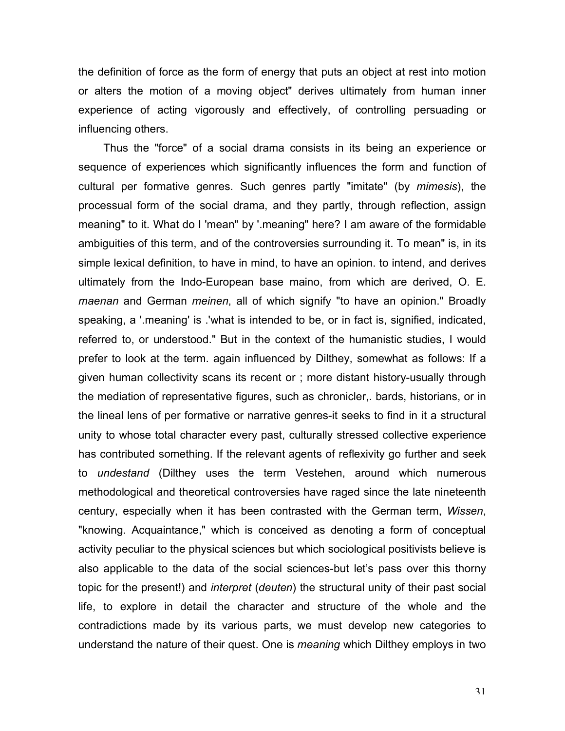the definition of force as the form of energy that puts an object at rest into motion or alters the motion of a moving object" derives ultimately from human inner experience of acting vigorously and effectively, of controlling persuading or influencing others.

Thus the "force" of a social drama consists in its being an experience or sequence of experiences which significantly influences the form and function of cultural per formative genres. Such genres partly "imitate" (by *mimesis*), the processual form of the social drama, and they partly, through reflection, assign meaning" to it. What do I 'mean" by '.meaning" here? I am aware of the formidable ambiguities of this term, and of the controversies surrounding it. To mean" is, in its simple lexical definition, to have in mind, to have an opinion. to intend, and derives ultimately from the Indo-European base maino, from which are derived, O. E. *maenan* and German *meinen*, all of which signify "to have an opinion." Broadly speaking, a '.meaning' is .'what is intended to be, or in fact is, signified, indicated, referred to, or understood." But in the context of the humanistic studies, I would prefer to look at the term. again influenced by Dilthey, somewhat as follows: If a given human collectivity scans its recent or ; more distant history-usually through the mediation of representative figures, such as chronicler,. bards, historians, or in the lineal lens of per formative or narrative genres-it seeks to find in it a structural unity to whose total character every past, culturally stressed collective experience has contributed something. If the relevant agents of reflexivity go further and seek to *undestand* (Dilthey uses the term Vestehen, around which numerous methodological and theoretical controversies have raged since the late nineteenth century, especially when it has been contrasted with the German term, *Wissen*, "knowing. Acquaintance," which is conceived as denoting a form of conceptual activity peculiar to the physical sciences but which sociological positivists believe is also applicable to the data of the social sciences-but let's pass over this thorny topic for the present!) and *interpret* (*deuten*) the structural unity of their past social life, to explore in detail the character and structure of the whole and the contradictions made by its various parts, we must develop new categories to understand the nature of their quest. One is *meaning* which Dilthey employs in two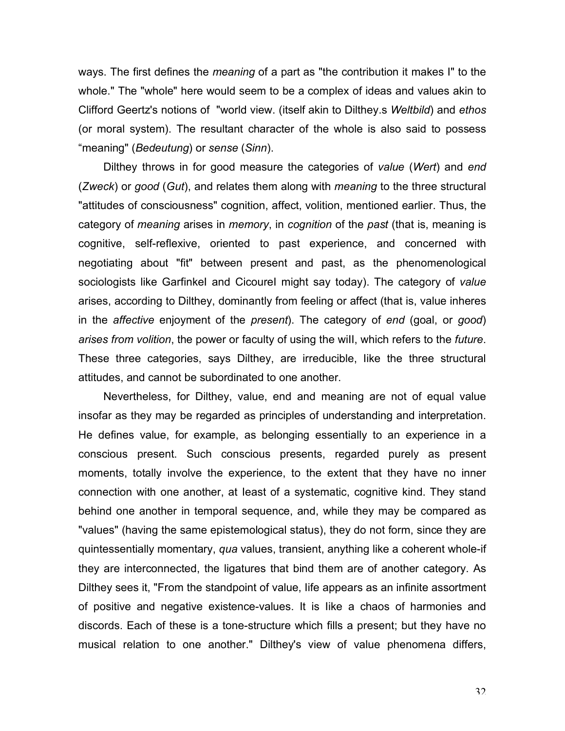ways. The first defines the *meaning* of a part as "the contribution it makes I" to the whole." The "whole" here would seem to be a complex of ideas and values akin to Clifford Geertz's notions of "world view. (itself akin to Dilthey.s *Weltbild*) and *ethos* (or moral system). The resultant character of the whole is also said to possess "meaning" (*Bedeutung*) or *sense* (*Sinn*).

Dilthey throws in for good measure the categories of *value* (*Wert*) and *end* (*Zweck*) or *good* (*Gut*), and relates them along with *meaning* to the three structural "attitudes of consciousness" cognition, affect, volition, mentioned earlier. Thus, the category of *meaning* arises in *memory*, in *cognition* of the *past* (that is, meaning is cognitive, self-reflexive, oriented to past experience, and concerned with negotiating about "fit" between present and past, as the phenomenological sociologists like Garfinkel and Cicourel might say today). The category of *value* arises, according to Dilthey, dominantly from feeling or affect (that is, value inheres in the *affective* enjoyment of the *present*). The category of *end* (goal, or *good*) *arises from volition*, the power or faculty of using the wiII, which refers to the *future*. These three categories, says Dilthey, are irreducible, Iike the three structural attitudes, and cannot be subordinated to one another.

Nevertheless, for Dilthey, value, end and meaning are not of equal value insofar as they may be regarded as principles of understanding and interpretation. He defines value, for example, as belonging essentially to an experience in a conscious present. Such conscious presents, regarded purely as present moments, totally involve the experience, to the extent that they have no inner connection with one another, at Ieast of a systematic, cognitive kind. They stand behind one another in temporal sequence, and, while they may be compared as "values" (having the same epistemological status), they do not form, since they are quintessentially momentary, *qua* values, transient, anything like a coherent whole-if they are interconnected, the ligatures that bind them are of another category. As Dilthey sees it, "From the standpoint of value, Iife appears as an infinite assortment of positive and negative existence-values. It is Iike a chaos of harmonies and discords. Each of these is a tone-structure which fills a present; but they have no musical relation to one another." Dilthey's view of value phenomena differs,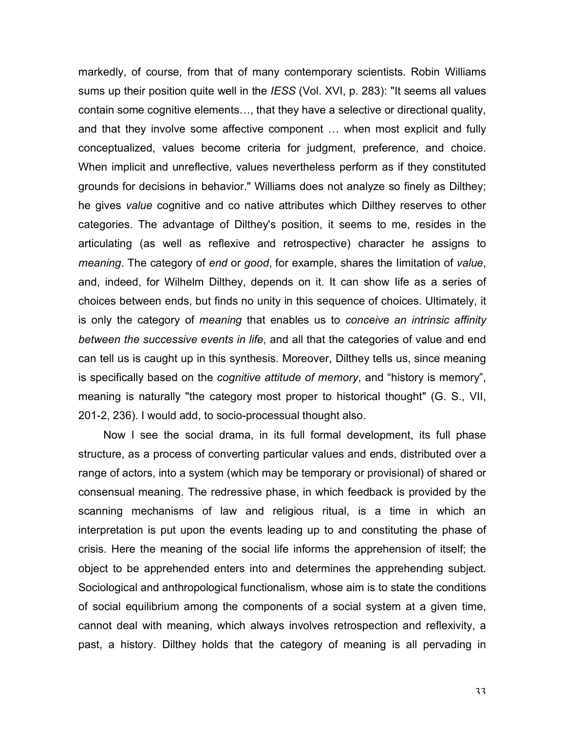markedly, of course, from that of many contemporary scientists. Robin Williams sums up their position quite well in the *IESS* (Vol. XVI, p. 283): "It seems all values contain some cognitive elements…, that they have a selective or directional quality, and that they involve some affective component … when most explicit and fully conceptualized, values become criteria for judgment, preference, and choice. When implicit and unreflective, values nevertheless perform as if they constituted grounds for decisions in behavior." Williams does not analyze so finely as Dilthey; he gives *value* cognitive and co native attributes which Dilthey reserves to other categories. The advantage of Dilthey's position, it seems to me, resides in the articulating (as well as reflexive and retrospective) character he assigns to *meaning*. The category of *end* or *good*, for example, shares the Iimitation of *value*, and, indeed, for Wilhelm Dilthey, depends on it. It can show Iife as a series of choices between ends, but finds no unity in this sequence of choices. Ultimately, it is only the category of *meaning* that enables us to *conceive an intrinsic affinity between the successive events in life*, and all that the categories of value and end can tell us is caught up in this synthesis. Moreover, Dilthey tells us, since meaning is specifically based on the *cognitive attitude of memory*, and "history is memory", meaning is naturally "the category most proper to historical thought" (G. S., VII, 201-2, 236). I would add, to socio-processual thought also.

Now I see the social drama, in its full formal development, its full phase structure, as a process of converting particular values and ends, distributed over a range of actors, into a system (which may be temporary or provisional) of shared or consensual meaning. The redressive phase, in which feedback is provided by the scanning mechanisms of law and religious ritual, is a time in which an interpretation is put upon the events leading up to and constituting the phase of crisis. Here the meaning of the social life informs the apprehension of itself; the object to be apprehended enters into and determines the apprehending subject. Sociological and anthropological functionalism, whose aim is to state the conditions of social equilibrium among the components of a social system at a given time, cannot deal with meaning, which always involves retrospection and reflexivity, a past, a history. Dilthey holds that the category of meaning is all pervading in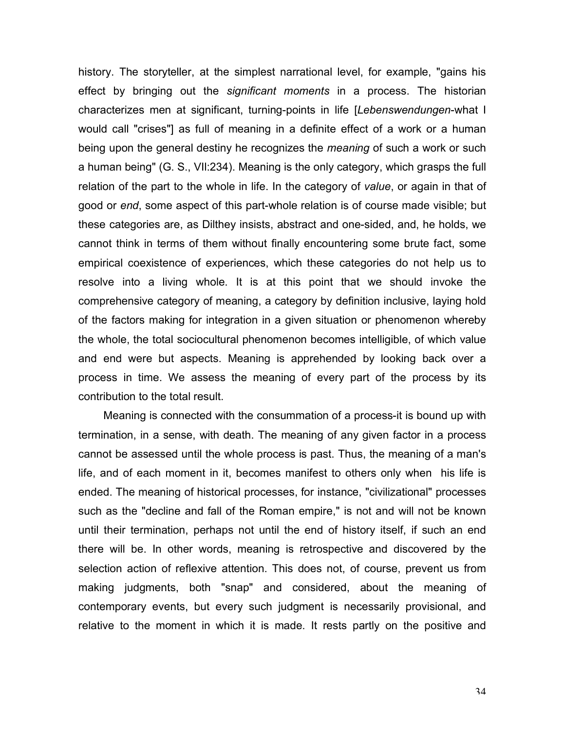history. The storyteller, at the simplest narrational level, for example, "gains his effect by bringing out the *significant moments* in a process. The historian characterizes men at significant, turning-points in life [*Lebenswendungen*-what I would call "crises"] as full of meaning in a definite effect of a work or a human being upon the general destiny he recognizes the *meaning* of such a work or such a human being" (G. S., VIl:234). Meaning is the only category, which grasps the full relation of the part to the whole in life. In the category of *value*, or again in that of good or *end*, some aspect of this part-whole relation is of course made visible; but these categories are, as Dilthey insists, abstract and one-sided, and, he holds, we cannot think in terms of them without finally encountering some brute fact, some empirical coexistence of experiences, which these categories do not help us to resolve into a living whole. It is at this point that we should invoke the comprehensive category of meaning, a category by definition inclusive, laying hold of the factors making for integration in a given situation or phenomenon whereby the whole, the total sociocultural phenomenon becomes intelligible, of which value and end were but aspects. Meaning is apprehended by looking back over a process in time. We assess the meaning of every part of the process by its contribution to the total result.

Meaning is connected with the consummation of a process-it is bound up with termination, in a sense, with death. The meaning of any given factor in a process cannot be assessed until the whole process is past. Thus, the meaning of a man's life, and of each moment in it, becomes manifest to others only when his life is ended. The meaning of historical processes, for instance, "civilizational" processes such as the "decline and fall of the Roman empire," is not and will not be known until their termination, perhaps not until the end of history itself, if such an end there will be. In other words, meaning is retrospective and discovered by the selection action of reflexive attention. This does not, of course, prevent us from making judgments, both "snap" and considered, about the meaning of contemporary events, but every such judgment is necessarily provisional, and relative to the moment in which it is made. It rests partly on the positive and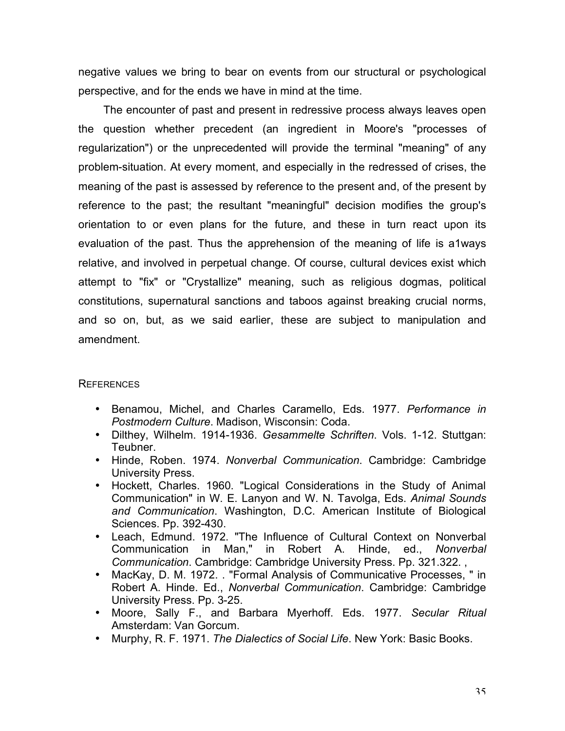negative values we bring to bear on events from our structural or psychological perspective, and for the ends we have in mind at the time.

The encounter of past and present in redressive process always leaves open the question whether precedent (an ingredient in Moore's "processes of regularization") or the unprecedented will provide the terminal "meaning" of any problem-situation. At every moment, and especially in the redressed of crises, the meaning of the past is assessed by reference to the present and, of the present by reference to the past; the resultant "meaningful" decision modifies the group's orientation to or even plans for the future, and these in turn react upon its evaluation of the past. Thus the apprehension of the meaning of life is a1ways relative, and involved in perpetual change. Of course, cultural devices exist which attempt to "fix" or "Crystallize" meaning, such as religious dogmas, political constitutions, supernatural sanctions and taboos against breaking crucial norms, and so on, but, as we said earlier, these are subject to manipulation and amendment.

## **REFERENCES**

- Benamou, Michel, and Charles Caramello, Eds. 1977. *Performance in Postmodern Culture*. Madison, Wisconsin: Coda.
- Dilthey, Wilhelm. 1914-1936. *Gesammelte Schriften*. Vols. 1-12. Stuttgan: Teubner.
- Hinde, Roben. 1974. *Nonverbal Communication*. Cambridge: Cambridge University Press.
- Hockett, Charles. 1960. "Logical Considerations in the Study of Animal Communication" in W. E. Lanyon and W. N. Tavolga, Eds. *Animal Sounds and Communication*. Washington, D.C. American Institute of Biological Sciences. Pp. 392-430.
- Leach, Edmund. 1972. "The Influence of Cultural Context on Nonverbal Communication in Man," in Robert A. Hinde, ed., *Nonverbal Communication*. Cambridge: Cambridge University Press. Pp. 321.322. ,
- MacKay, D. M. 1972. . "Formal Analysis of Communicative Processes, " in Robert A. Hinde. Ed., *Nonverbal Communication*. Cambridge: Cambridge University Press. Pp. 3-25.
- Moore, Sally F., and Barbara Myerhoff. Eds. 1977. *Secular Ritual* Amsterdam: Van Gorcum.
- Murphy, R. F. 1971. *The Dialectics of Social Life*. New York: Basic Books.